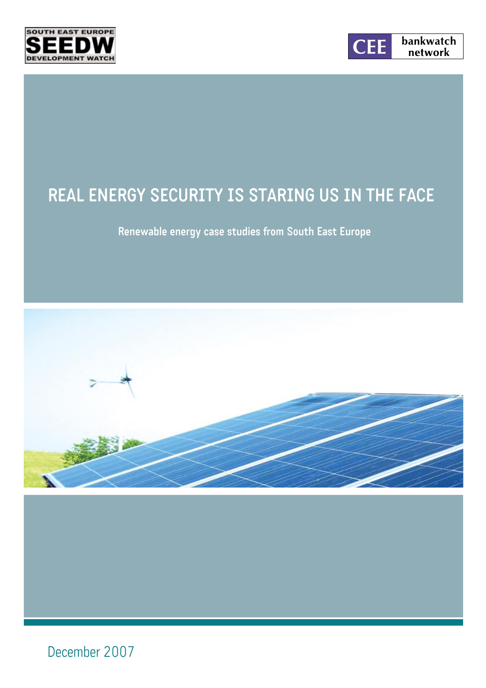



# **REAL ENERGY SECURITY IS STARING US IN THE FACE**

**Renewable energy case studies from South East Europe**



December 2007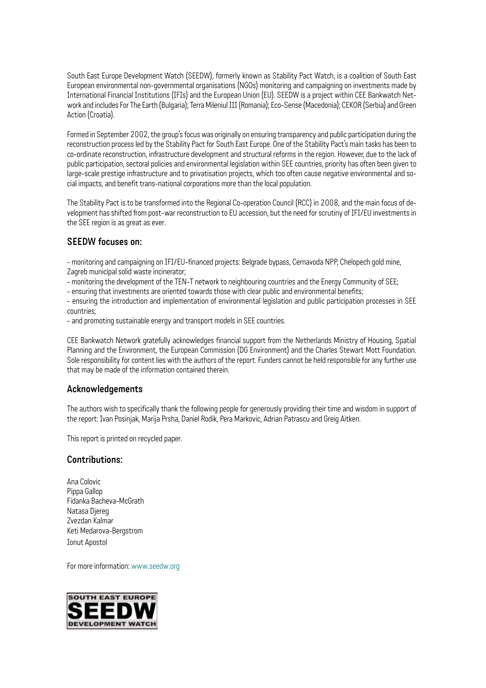South East Europe Development Watch (SEEDW), formerly known as Stability Pact Watch, is a coalition of South East European environmental non-governmental organisations (NGOs) monitoring and campaigning on investments made by International Financial Institutions (IFIs) and the European Union (EU). SEEDW is a project within CEE Bankwatch Network and includes For The Earth (Bulgaria); Terra Mileniul III (Romania); Eco-Sense (Macedonia); CEKOR (Serbia) and Green Action (Croatia).

Formed in September 2002, the group's focus was originally on ensuring transparency and public participation during the reconstruction process led by the Stability Pact for South East Europe. One of the Stability Pact's main tasks has been to co-ordinate reconstruction, infrastructure development and structural reforms in the region. However, due to the lack of public participation, sectoral policies and environmental legislation within SEE countries, priority has often been given to large-scale prestige infrastructure and to privatisation projects, which too often cause negative environmental and social impacts, and benefit trans-national corporations more than the local population.

The Stability Pact is to be transformed into the Regional Co-operation Council (RCC) in 2008, and the main focus of development has shifted from post-war reconstruction to EU accession, but the need for scrutiny of IFI/EU investments in the SEE region is as great as ever.

#### **SEEDW focuses on:**

- monitoring and campaigning on IFI/EU-financed projects: Belgrade bypass, Cernavoda NPP, Chelopech gold mine, Zagreb municipal solid waste incinerator;

- monitoring the development of the TEN-T network to neighbouring countries and the Energy Community of SEE;

- ensuring that investments are oriented towards those with clear public and environmental benefits;

- ensuring the introduction and implementation of environmental legislation and public participation processes in SEE countries;

- and promoting sustainable energy and transport models in SEE countries.

CEE Bankwatch Network gratefully acknowledges financial support from the Netherlands Ministry of Housing, Spatial Planning and the Environment, the European Commission (DG Environment) and the Charles Stewart Mott Foundation. Sole responsibility for content lies with the authors of the report. Funders cannot be held responsible for any further use that may be made of the information contained therein.

#### **Acknowledgements**

The authors wish to specifically thank the following people for generously providing their time and wisdom in support of the report: Ivan Posinjak, Marija Prsha, Daniel Rodik, Pera Markovic, Adrian Patrascu and Greig Aitken.

This report is printed on recycled paper.

#### **Contributions:**

Ana Colovic Pippa Gallop Fidanka Bacheva-McGrath Natasa Djereg Zvezdan Kalmar Keti Medarova-Bergstrom Ionut Apostol

For more information: www.seedw.org

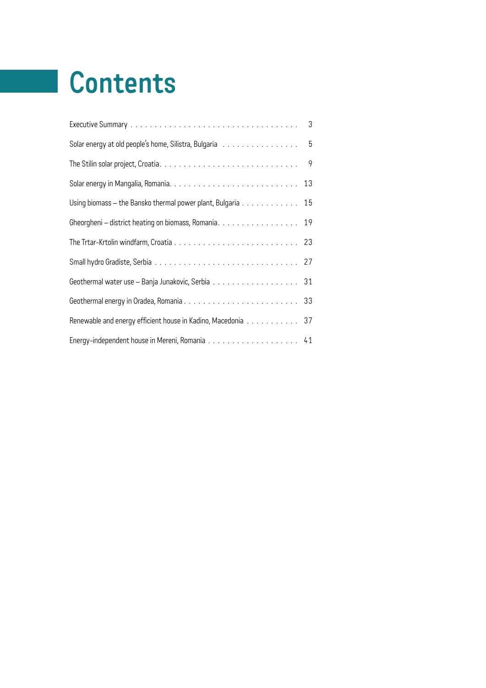# **Contents**

|                                                              | 3              |
|--------------------------------------------------------------|----------------|
| Solar energy at old people's home, Silistra, Bulgaria 5      |                |
|                                                              | $\overline{9}$ |
|                                                              |                |
| Using biomass - the Bansko thermal power plant, Bulgaria 15  |                |
| Gheorgheni - district heating on biomass, Romania. 19        |                |
|                                                              |                |
|                                                              |                |
|                                                              |                |
|                                                              |                |
| Renewable and energy efficient house in Kadino, Macedonia 37 |                |
|                                                              |                |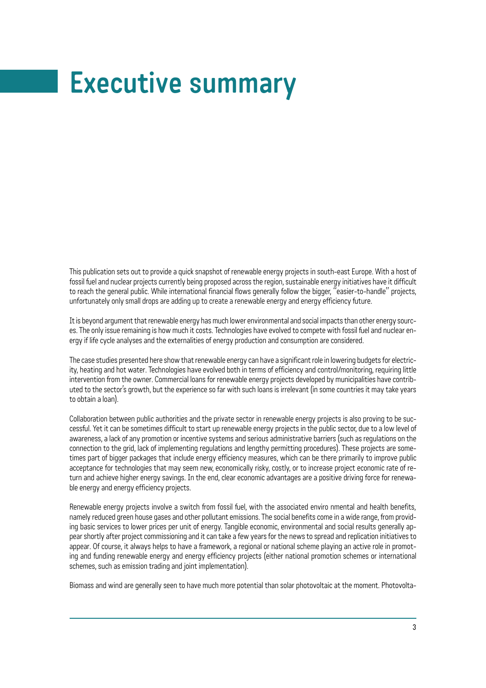# **Executive summary**

This publication sets out to provide a quick snapshot of renewable energy projects in south-east Europe. With a host of fossil fuel and nuclear projects currently being proposed across the region, sustainable energy initiatives have it difficult to reach the general public. While international financial flows generally follow the bigger, "easier-to-handle" projects, unfortunately only small drops are adding up to create a renewable energy and energy efficiency future.

It is beyond argument that renewable energy has much lower environmental and social impacts than other energy sources. The only issue remaining is how much it costs. Technologies have evolved to compete with fossil fuel and nuclear energy if life cycle analyses and the externalities of energy production and consumption are considered.

The case studies presented here show that renewable energy can have a significant role in lowering budgets for electricity, heating and hot water. Technologies have evolved both in terms of efficiency and control/monitoring, requiring little intervention from the owner. Commercial loans for renewable energy projects developed by municipalities have contributed to the sector's growth, but the experience so far with such loans is irrelevant (in some countries it may take years to obtain a loan).

Collaboration between public authorities and the private sector in renewable energy projects is also proving to be successful. Yet it can be sometimes difficult to start up renewable energy projects in the public sector, due to a low level of awareness, a lack of any promotion or incentive systems and serious administrative barriers (such as regulations on the connection to the grid, lack of implementing regulations and lengthy permitting procedures). These projects are sometimes part of bigger packages that include energy efficiency measures, which can be there primarily to improve public acceptance for technologies that may seem new, economically risky, costly, or to increase project economic rate of return and achieve higher energy savings. In the end, clear economic advantages are a positive driving force for renewable energy and energy efficiency projects.

Renewable energy projects involve a switch from fossil fuel, with the associated enviro nmental and health benefits, namely reduced green house gases and other pollutant emissions. The social benefits come in a wide range, from providing basic services to lower prices per unit of energy. Tangible economic, environmental and social results generally appear shortly after project commissioning and it can take a few years for the news to spread and replication initiatives to appear. Of course, it always helps to have a framework, a regional or national scheme playing an active role in promoting and funding renewable energy and energy efficiency projects (either national promotion schemes or international schemes, such as emission trading and joint implementation).

Biomass and wind are generally seen to have much more potential than solar photovoltaic at the moment. Photovolta-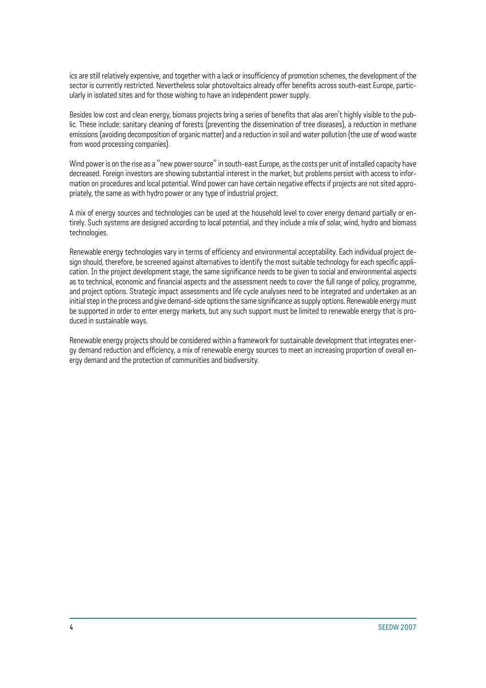ics are still relatively expensive, and together with a lack or insufficiency of promotion schemes, the development of the sector is currently restricted. Nevertheless solar photovoltaics already offer benefits across south-east Europe, particularly in isolated sites and for those wishing to have an independent power supply.

Besides low cost and clean energy, biomass projects bring a series of benefits that alas aren't highly visible to the public. These include: sanitary cleaning of forests (preventing the dissemination of tree diseases), a reduction in methane emissions (avoiding decomposition of organic matter) and a reduction in soil and water pollution (the use of wood waste from wood processing companies).

Wind power is on the rise as a "new power source" in south-east Europe, as the costs per unit of installed capacity have decreased. Foreign investors are showing substantial interest in the market, but problems persist with access to information on procedures and local potential. Wind power can have certain negative effects if projects are not sited appropriately, the same as with hydro power or any type of industrial project.

A mix of energy sources and technologies can be used at the household level to cover energy demand partially or entirely. Such systems are designed according to local potential, and they include a mix of solar, wind, hydro and biomass technologies.

Renewable energy technologies vary in terms of efficiency and environmental acceptability. Each individual project design should, therefore, be screened against alternatives to identify the most suitable technology for each specific application. In the project development stage, the same significance needs to be given to social and environmental aspects as to technical, economic and financial aspects and the assessment needs to cover the full range of policy, programme, and project options. Strategic impact assessments and life cycle analyses need to be integrated and undertaken as an initial step in the process and give demand-side options the same significance as supply options. Renewable energy must be supported in order to enter energy markets, but any such support must be limited to renewable energy that is produced in sustainable ways.

Renewable energy projects should be considered within a framework for sustainable development that integrates energy demand reduction and efficiency, a mix of renewable energy sources to meet an increasing proportion of overall energy demand and the protection of communities and biodiversity.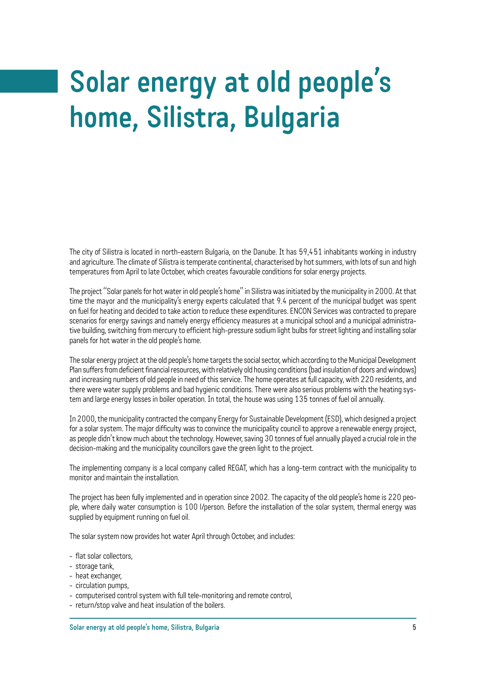# **Solar energy at old people's home, Silistra, Bulgaria**

The city of Silistra is located in north-eastern Bulgaria, on the Danube. It has 59,451 inhabitants working in industry and agriculture. The climate of Silistra is temperate continental, characterised by hot summers, with lots of sun and high temperatures from April to late October, which creates favourable conditions for solar energy projects.

The project "Solar panels for hot water in old people's home" in Silistra was initiated by the municipality in 2000. At that time the mayor and the municipality's energy experts calculated that 9.4 percent of the municipal budget was spent on fuel for heating and decided to take action to reduce these expenditures. ENCON Services was contracted to prepare scenarios for energy savings and namely energy efficiency measures at a municipal school and a municipal administrative building, switching from mercury to efficient high-pressure sodium light bulbs for street lighting and installing solar panels for hot water in the old people's home.

The solar energy project at the old people's home targets the social sector, which according to the Municipal Development Plan suffers from deficient financial resources, with relatively old housing conditions (bad insulation of doors and windows) and increasing numbers of old people in need of this service. The home operates at full capacity, with 220 residents, and there were water supply problems and bad hygienic conditions. There were also serious problems with the heating system and large energy losses in boiler operation. In total, the house was using 135 tonnes of fuel oil annually.

In 2000, the municipality contracted the company Energy for Sustainable Development (ESD), which designed a project for a solar system. The major difficulty was to convince the municipality council to approve a renewable energy project, as people didn't know much about the technology. However, saving 30 tonnes of fuel annually played a crucial role in the decision-making and the municipality councillors gave the green light to the project.

The implementing company is a local company called REGAT, which has a long-term contract with the municipality to monitor and maintain the installation.

The project has been fully implemented and in operation since 2002. The capacity of the old people's home is 220 people, where daily water consumption is 100 l/person. Before the installation of the solar system, thermal energy was supplied by equipment running on fuel oil.

The solar system now provides hot water April through October, and includes:

- flat solar collectors,
- storage tank,
- heat exchanger,
- circulation pumps,
- computerised control system with full tele-monitoring and remote control,
- return/stop valve and heat insulation of the boilers.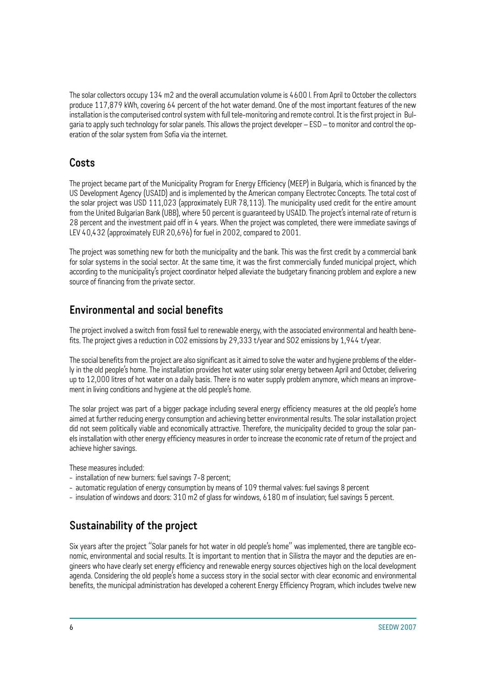The solar collectors occupy 134 m2 and the overall accumulation volume is 4600 l. From April to October the collectors produce 117,879 kWh, covering 64 percent of the hot water demand. One of the most important features of the new installation is the computerised control system with full tele-monitoring and remote control. It is the first project in Bulgaria to apply such technology for solar panels. This allows the project developer – ESD – to monitor and control the operation of the solar system from Sofia via the internet.

#### **Costs**

The project became part of the Municipality Program for Energy Efficiency (MEEP) in Bulgaria, which is financed by the US Development Agency (USAID) and is implemented by the American company Electrotec Concepts. The total cost of the solar project was USD 111,023 (approximately EUR 78,113). The municipality used credit for the entire amount from the United Bulgarian Bank (UBB), where 50 percent is guaranteed by USAID. The project's internal rate of return is 28 percent and the investment paid off in 4 years. When the project was completed, there were immediate savings of LEV 40,432 (approximately EUR 20,696) for fuel in 2002, compared to 2001.

The project was something new for both the municipality and the bank. This was the first credit by a commercial bank for solar systems in the social sector. At the same time, it was the first commercially funded municipal project, which according to the municipality's project coordinator helped alleviate the budgetary financing problem and explore a new source of financing from the private sector.

### **Environmental and social benefits**

The project involved a switch from fossil fuel to renewable energy, with the associated environmental and health benefits. The project gives a reduction in CO2 emissions by 29,333 t/year and SO2 emissions by 1,944 t/year.

The social benefits from the project are also significant as it aimed to solve the water and hygiene problems of the elderly in the old people's home. The installation provides hot water using solar energy between April and October, delivering up to 12,000 litres of hot water on a daily basis. There is no water supply problem anymore, which means an improvement in living conditions and hygiene at the old people's home.

The solar project was part of a bigger package including several energy efficiency measures at the old people's home aimed at further reducing energy consumption and achieving better environmental results. The solar installation project did not seem politically viable and economically attractive. Therefore, the municipality decided to group the solar panels installation with other energy efficiency measures in order to increase the economic rate of return of the project and achieve higher savings.

These measures included:

- installation of new burners: fuel savings 7-8 percent;
- automatic regulation of energy consumption by means of 109 thermal valves: fuel savings 8 percent
- insulation of windows and doors: 310 m2 of glass for windows, 6180 m of insulation; fuel savings 5 percent.

## **Sustainability of the project**

Six years after the project "Solar panels for hot water in old people's home" was implemented, there are tangible economic, environmental and social results. It is important to mention that in Silistra the mayor and the deputies are engineers who have clearly set energy efficiency and renewable energy sources objectives high on the local development agenda. Considering the old people's home a success story in the social sector with clear economic and environmental benefits, the municipal administration has developed a coherent Energy Efficiency Program, which includes twelve new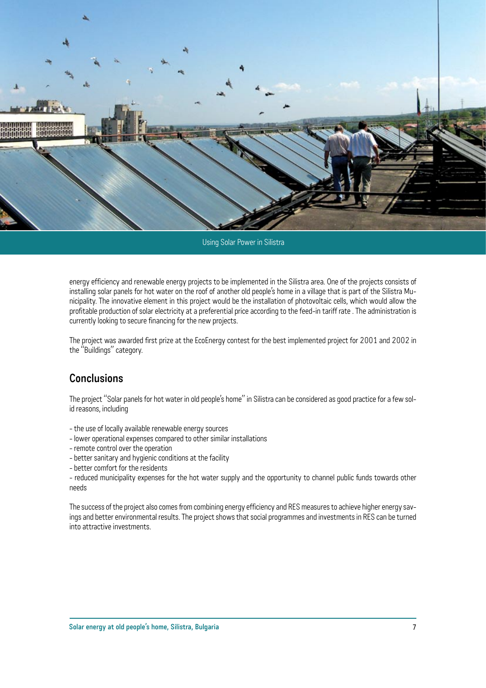

Using Solar Power in Silistra

energy efficiency and renewable energy projects to be implemented in the Silistra area. One of the projects consists of installing solar panels for hot water on the roof of another old people's home in a village that is part of the Silistra Municipality. The innovative element in this project would be the installation of photovoltaic cells, which would allow the profitable production of solar electricity at a preferential price according to the feed-in tariff rate . The administration is currently looking to secure financing for the new projects.

The project was awarded first prize at the EcoEnergy contest for the best implemented project for 2001 and 2002 in the "Buildings" category.

#### **Conclusions**

The project "Solar panels for hot water in old people's home" in Silistra can be considered as good practice for a few solid reasons, including

- the use of locally available renewable energy sources
- lower operational expenses compared to other similar installations
- remote control over the operation
- better sanitary and hygienic conditions at the facility
- better comfort for the residents

- reduced municipality expenses for the hot water supply and the opportunity to channel public funds towards other needs

The success of the project also comes from combining energy efficiency and RES measures to achieve higher energy savings and better environmental results. The project shows that social programmes and investments in RES can be turned into attractive investments.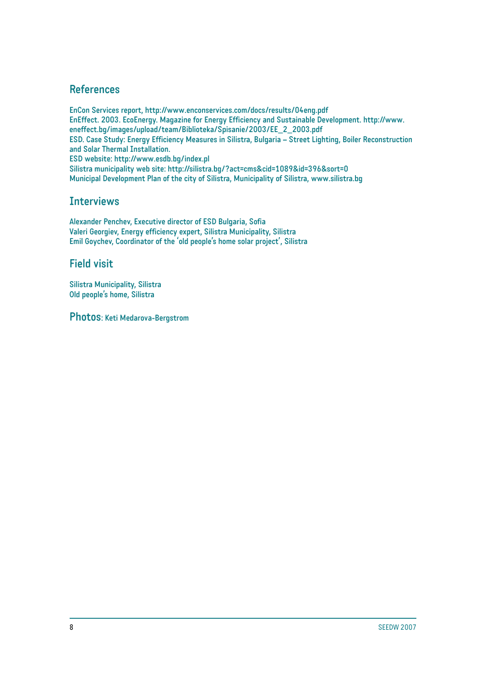#### **References**

**EnCon Services report, http://www.enconservices.com/docs/results/04eng.pdf EnEffect. 2003. EcoEnergy. Magazine for Energy Efficiency and Sustainable Development. http://www. eneffect.bg/images/upload/team/Biblioteka/Spisanie/2003/EE\_2\_2003.pdf ESD. Case Study: Energy Efficiency Measures in Silistra, Bulgaria – Street Lighting, Boiler Reconstruction and Solar Thermal Installation. ESD website: http://www.esdb.bg/index.pl Silistra municipality web site: http://silistra.bg/?act=cms&cid=1089&id=396&sort=0 Municipal Development Plan of the city of Silistra, Municipality of Silistra, www.silistra.bg**

#### **Interviews**

**Alexander Penchev, Executive director of ESD Bulgaria, Sofia Valeri Georgiev, Energy efficiency expert, Silistra Municipality, Silistra Emil Goychev, Coordinator of the 'old people's home solar project', Silistra**

#### **Field visit**

**Silistra Municipality, Silistra Old people's home, Silistra**

**Photos: Keti Medarova-Bergstrom**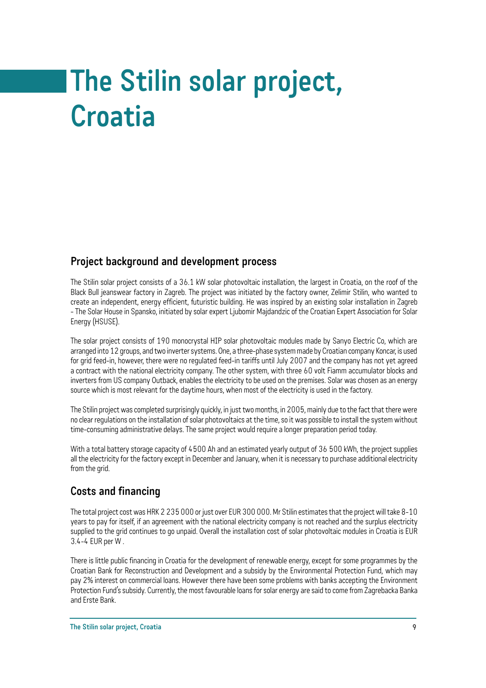# **The Stilin solar project, Croatia**

#### **Project background and development process**

The Stilin solar project consists of a 36.1 kW solar photovoltaic installation, the largest in Croatia, on the roof of the Black Bull jeanswear factory in Zagreb. The project was initiated by the factory owner, Zelimir Stilin, who wanted to create an independent, energy efficient, futuristic building. He was inspired by an existing solar installation in Zagreb - The Solar House in Spansko, initiated by solar expert Ljubomir Majdandzic of the Croatian Expert Association for Solar Energy (HSUSE).

The solar project consists of 190 monocrystal HIP solar photovoltaic modules made by Sanyo Electric Co, which are arranged into 12 groups, and two inverter systems. One, a three-phase system made by Croatian company Koncar, is used for grid feed-in, however, there were no regulated feed-in tariffs until July 2007 and the company has not yet agreed a contract with the national electricity company. The other system, with three 60 volt Fiamm accumulator blocks and inverters from US company Outback, enables the electricity to be used on the premises. Solar was chosen as an energy source which is most relevant for the daytime hours, when most of the electricity is used in the factory.

The Stilin project was completed surprisingly quickly, in just two months, in 2005, mainly due to the fact that there were no clear regulations on the installation of solar photovoltaics at the time, so it was possible to install the system without time-consuming administrative delays. The same project would require a longer preparation period today.

With a total battery storage capacity of 4500 Ah and an estimated yearly output of 36 500 kWh, the project supplies all the electricity for the factory except in December and January, when it is necessary to purchase additional electricity from the grid.

## **Costs and financing**

The total project cost was HRK 2 235 000 or just over EUR 300 000. Mr Stilin estimates that the project will take 8-10 years to pay for itself, if an agreement with the national electricity company is not reached and the surplus electricity supplied to the grid continues to go unpaid. Overall the installation cost of solar photovoltaic modules in Croatia is EUR 3.4-4 EUR per W .

There is little public financing in Croatia for the development of renewable energy, except for some programmes by the Croatian Bank for Reconstruction and Development and a subsidy by the Environmental Protection Fund, which may pay 2% interest on commercial loans. However there have been some problems with banks accepting the Environment Protection Fund's subsidy. Currently, the most favourable loans for solar energy are said to come from Zagrebacka Banka and Erste Bank.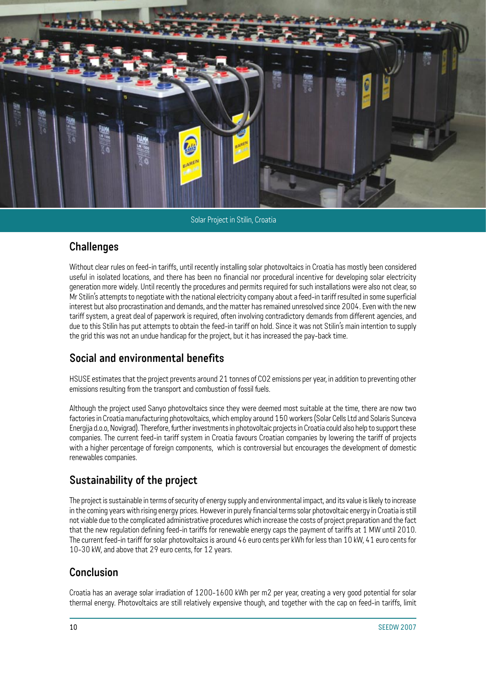![](_page_11_Picture_0.jpeg)

Solar Project in Stilin, Croatia

#### **Challenges**

Without clear rules on feed-in tariffs, until recently installing solar photovoltaics in Croatia has mostly been considered useful in isolated locations, and there has been no financial nor procedural incentive for developing solar electricity generation more widely. Until recently the procedures and permits required for such installations were also not clear, so Mr Stilin's attempts to negotiate with the national electricity company about a feed-in tariff resulted in some superficial interest but also procrastination and demands, and the matter has remained unresolved since 2004. Even with the new tariff system, a great deal of paperwork is required, often involving contradictory demands from different agencies, and due to this Stilin has put attempts to obtain the feed-in tariff on hold. Since it was not Stilin's main intention to supply the grid this was not an undue handicap for the project, but it has increased the pay-back time.

#### **Social and environmental benefits**

HSUSE estimates that the project prevents around 21 tonnes of CO2 emissions per year, in addition to preventing other emissions resulting from the transport and combustion of fossil fuels.

Although the project used Sanyo photovoltaics since they were deemed most suitable at the time, there are now two factories in Croatia manufacturing photovoltaics, which employ around 150 workers (Solar Cells Ltd and Solaris Sunceva Energija d.o.o, Novigrad). Therefore, further investments in photovoltaic projects in Croatia could also help to support these companies. The current feed-in tariff system in Croatia favours Croatian companies by lowering the tariff of projects with a higher percentage of foreign components, which is controversial but encourages the development of domestic renewables companies.

## **Sustainability of the project**

The project is sustainable in terms of security of energy supply and environmental impact, and its value is likely to increase in the coming years with rising energy prices. However in purely financial terms solar photovoltaic energy in Croatia is still not viable due to the complicated administrative procedures which increase the costs of project preparation and the fact that the new regulation defining feed-in tariffs for renewable energy caps the payment of tariffs at 1 MW until 2010. The current feed-in tariff for solar photovoltaics is around 46 euro cents per kWh for less than 10 kW, 41 euro cents for 10-30 kW, and above that 29 euro cents, for 12 years.

#### **Conclusion**

Croatia has an average solar irradiation of 1200-1600 kWh per m2 per year, creating a very good potential for solar thermal energy. Photovoltaics are still relatively expensive though, and together with the cap on feed-in tariffs, limit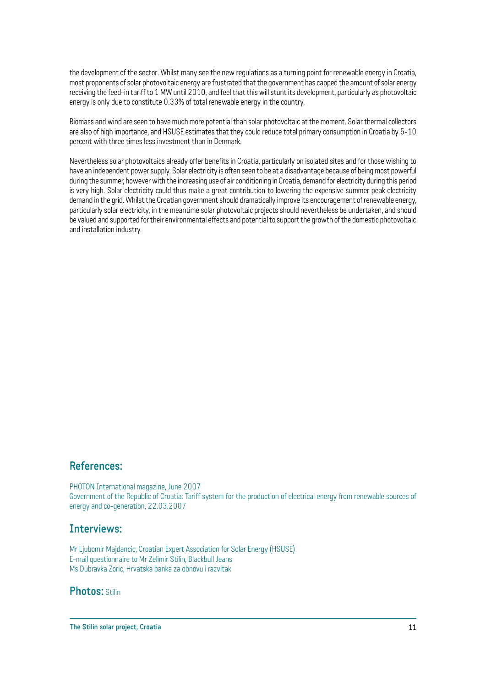the development of the sector. Whilst many see the new regulations as a turning point for renewable energy in Croatia, most proponents of solar photovoltaic energy are frustrated that the government has capped the amount of solar energy receiving the feed-in tariff to 1 MW until 2010, and feel that this will stunt its development, particularly as photovoltaic energy is only due to constitute 0.33% of total renewable energy in the country.

Biomass and wind are seen to have much more potential than solar photovoltaic at the moment. Solar thermal collectors are also of high importance, and HSUSE estimates that they could reduce total primary consumption in Croatia by 5-10 percent with three times less investment than in Denmark.

Nevertheless solar photovoltaics already offer benefits in Croatia, particularly on isolated sites and for those wishing to have an independent power supply. Solar electricity is often seen to be at a disadvantage because of being most powerful during the summer, however with the increasing use of air conditioning in Croatia, demand for electricity during this period is very high. Solar electricity could thus make a great contribution to lowering the expensive summer peak electricity demand in the grid. Whilst the Croatian government should dramatically improve its encouragement of renewable energy, particularly solar electricity, in the meantime solar photovoltaic projects should nevertheless be undertaken, and should be valued and supported for their environmental effects and potential to support the growth of the domestic photovoltaic and installation industry.

#### **References:**

PHOTON International magazine, June 2007 Government of the Republic of Croatia: Tariff system for the production of electrical energy from renewable sources of energy and co-generation, 22.03.2007

#### **Interviews:**

Mr Ljubomir Majdancic, Croatian Expert Association for Solar Energy (HSUSE) E-mail questionnaire to Mr Zelimir Stilin, Blackbull Jeans Ms Dubravka Zoric, Hrvatska banka za obnovu i razvitak

#### **Photos:** Stilin

**The Stilin solar project, Croatia**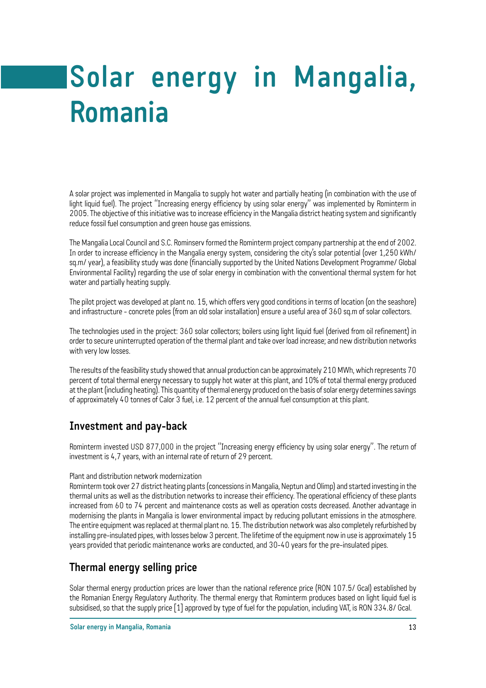# **Solar energy in Mangalia, Romania**

A solar project was implemented in Mangalia to supply hot water and partially heating (in combination with the use of light liquid fuel). The project "Increasing energy efficiency by using solar energy" was implemented by Rominterm in 2005. The objective of this initiative was to increase efficiency in the Mangalia district heating system and significantly reduce fossil fuel consumption and green house gas emissions.

The Mangalia Local Council and S.C. Rominserv formed the Rominterm project company partnership at the end of 2002. In order to increase efficiency in the Mangalia energy system, considering the city's solar potential (over 1,250 kWh/ sq.m/ year), a feasibility study was done (financially supported by the United Nations Development Programme/ Global Environmental Facility) regarding the use of solar energy in combination with the conventional thermal system for hot water and partially heating supply.

The pilot project was developed at plant no. 15, which offers very good conditions in terms of location (on the seashore) and infrastructure - concrete poles (from an old solar installation) ensure a useful area of 360 sq.m of solar collectors.

The technologies used in the project: 360 solar collectors; boilers using light liquid fuel (derived from oil refinement) in order to secure uninterrupted operation of the thermal plant and take over load increase; and new distribution networks with very low losses.

The results of the feasibility study showed that annual production can be approximately 210 MWh, which represents 70 percent of total thermal energy necessary to supply hot water at this plant, and 10% of total thermal energy produced at the plant (including heating). This quantity of thermal energy produced on the basis of solar energy determines savings of approximately 40 tonnes of Calor 3 fuel, i.e. 12 percent of the annual fuel consumption at this plant.

#### **Investment and pay-back**

Rominterm invested USD 877,000 in the project "Increasing energy efficiency by using solar energy". The return of investment is 4,7 years, with an internal rate of return of 29 percent.

#### Plant and distribution network modernization

Rominterm took over 27 district heating plants (concessions in Mangalia, Neptun and Olimp) and started investing in the thermal units as well as the distribution networks to increase their efficiency. The operational efficiency of these plants increased from 60 to 74 percent and maintenance costs as well as operation costs decreased. Another advantage in modernising the plants in Mangalia is lower environmental impact by reducing pollutant emissions in the atmosphere. The entire equipment was replaced at thermal plant no. 15. The distribution network was also completely refurbished by installing pre-insulated pipes, with losses below 3 percent. The lifetime of the equipment now in use is approximately 15 years provided that periodic maintenance works are conducted, and 30-40 years for the pre-insulated pipes.

#### **Thermal energy selling price**

Solar thermal energy production prices are lower than the national reference price (RON 107.5/ Gcal) established by the Romanian Energy Regulatory Authority. The thermal energy that Rominterm produces based on light liquid fuel is subsidised, so that the supply price [1] approved by type of fuel for the population, including VAT, is RON 334.8/ Gcal.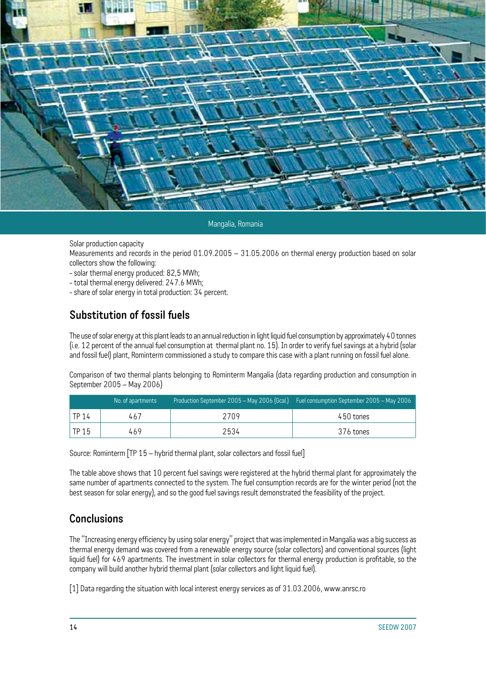![](_page_15_Picture_0.jpeg)

Mangalia, Romania

Solar production capacity

Measurements and records in the period 01.09.2005 – 31.05.2006 on thermal energy production based on solar collectors show the following:

- solar thermal energy produced: 82,5 MWh;
- total thermal energy delivered: 247.6 MWh;
- share of solar energy in total production: 34 percent.

#### **Substitution of fossil fuels**

The use of solar energy at this plant leads to an annual reduction in light liquid fuel consumption by approximately 40 tonnes (i.e. 12 percent of the annual fuel consumption at thermal plant no. 15). In order to verify fuel savings at a hybrid (solar and fossil fuel) plant, Rominterm commissioned a study to compare this case with a plant running on fossil fuel alone.

Comparison of two thermal plants belonging to Rominterm Mangalia (data regarding production and consumption in September 2005 – May 2006)

|                    | No. of apartments |      | Production September 2005 – May 2006 (Gcal.) $\sqrt{3}$ Fuel consumption September 2005 – May 2006 |
|--------------------|-------------------|------|----------------------------------------------------------------------------------------------------|
| <sup>'</sup> TP 14 | 467               | 2709 | 450 tones                                                                                          |
| $\Gamma$ TP 15     | 469               | 2534 | 376 tones                                                                                          |

Source: Rominterm [TP 15 – hybrid thermal plant, solar collectors and fossil fuel]

The table above shows that 10 percent fuel savings were registered at the hybrid thermal plant for approximately the same number of apartments connected to the system. The fuel consumption records are for the winter period (not the best season for solar energy), and so the good fuel savings result demonstrated the feasibility of the project.

#### **Conclusions**

The "Increasing energy efficiency by using solar energy" project that was implemented in Mangalia was a big success as thermal energy demand was covered from a renewable energy source (solar collectors) and conventional sources (light liquid fuel) for 469 apartments. The investment in solar collectors for thermal energy production is profitable, so the company will build another hybrid thermal plant (solar collectors and light liquid fuel).

[1] Data regarding the situation with local interest energy services as of 31.03.2006, www.anrsc.ro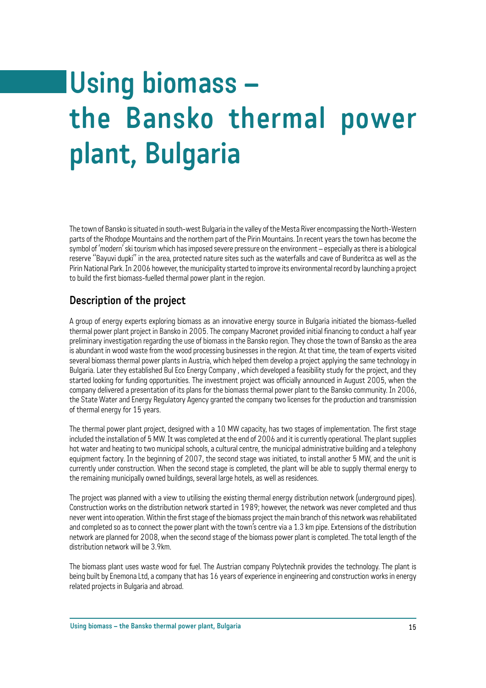# **Using biomass – the Bansko thermal power plant, Bulgaria**

The town of Bansko is situated in south-west Bulgaria in the valley of the Mesta River encompassing the North-Western parts of the Rhodope Mountains and the northern part of the Pirin Mountains. In recent years the town has become the symbol of 'modern' ski tourism which has imposed severe pressure on the environment – especially as there is a biological reserve "Bayuvi dupki" in the area, protected nature sites such as the waterfalls and cave of Bunderitca as well as the Pirin National Park. In 2006 however, the municipality started to improve its environmental record by launching a project to build the first biomass-fuelled thermal power plant in the region.

#### **Description of the project**

A group of energy experts exploring biomass as an innovative energy source in Bulgaria initiated the biomass-fuelled thermal power plant project in Bansko in 2005. The company Macronet provided initial financing to conduct a half year preliminary investigation regarding the use of biomass in the Bansko region. They chose the town of Bansko as the area is abundant in wood waste from the wood processing businesses in the region. At that time, the team of experts visited several biomass thermal power plants in Austria, which helped them develop a project applying the same technology in Bulgaria. Later they established Bul Eco Energy Company , which developed a feasibility study for the project, and they started looking for funding opportunities. The investment project was officially announced in August 2005, when the company delivered a presentation of its plans for the biomass thermal power plant to the Bansko community. In 2006, the State Water and Energy Regulatory Agency granted the company two licenses for the production and transmission of thermal energy for 15 years.

The thermal power plant project, designed with a 10 MW capacity, has two stages of implementation. The first stage included the installation of 5 MW. It was completed at the end of 2006 and it is currently operational. The plant supplies hot water and heating to two municipal schools, a cultural centre, the municipal administrative building and a telephony equipment factory. In the beginning of 2007, the second stage was initiated, to install another 5 MW, and the unit is currently under construction. When the second stage is completed, the plant will be able to supply thermal energy to the remaining municipally owned buildings, several large hotels, as well as residences.

The project was planned with a view to utilising the existing thermal energy distribution network (underground pipes). Construction works on the distribution network started in 1989; however, the network was never completed and thus never went into operation. Within the first stage of the biomass project the main branch of this network was rehabilitated and completed so as to connect the power plant with the town's centre via a 1.3 km pipe. Extensions of the distribution network are planned for 2008, when the second stage of the biomass power plant is completed. The total length of the distribution network will be 3.9km.

The biomass plant uses waste wood for fuel. The Austrian company Polytechnik provides the technology. The plant is being built by Enemona Ltd, a company that has 16 years of experience in engineering and construction works in energy related projects in Bulgaria and abroad.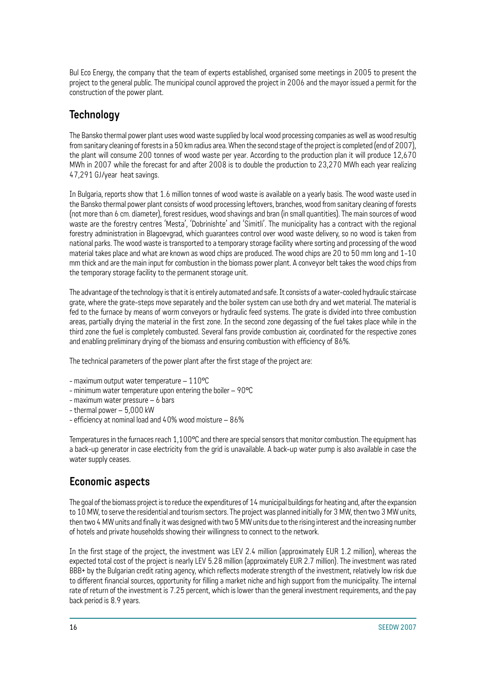Bul Eco Energy, the company that the team of experts established, organised some meetings in 2005 to present the project to the general public. The municipal council approved the project in 2006 and the mayor issued a permit for the construction of the power plant.

## **Technology**

The Bansko thermal power plant uses wood waste supplied by local wood processing companies as well as wood resultig from sanitary cleaning of forests in a 50 km radius area. When the second stage of the project is completed (end of 2007), the plant will consume 200 tonnes of wood waste per year. According to the production plan it will produce 12,670 MWh in 2007 while the forecast for and after 2008 is to double the production to 23,270 MWh each year realizing 47,291 GJ/year heat savings.

In Bulgaria, reports show that 1.6 million tonnes of wood waste is available on a yearly basis. The wood waste used in the Bansko thermal power plant consists of wood processing leftovers, branches, wood from sanitary cleaning of forests (not more than 6 cm. diameter), forest residues, wood shavings and bran (in small quantities). The main sources of wood waste are the forestry centres 'Mesta', 'Dobrinishte' and 'Simitli'. The municipality has a contract with the regional forestry administration in Blagoevgrad, which guarantees control over wood waste delivery, so no wood is taken from national parks. The wood waste is transported to a temporary storage facility where sorting and processing of the wood material takes place and what are known as wood chips are produced. The wood chips are 20 to 50 mm long and 1-10 mm thick and are the main input for combustion in the biomass power plant. A conveyor belt takes the wood chips from the temporary storage facility to the permanent storage unit.

The advantage of the technology is that it is entirely automated and safe. It consists of a water-cooled hydraulic staircase grate, where the grate-steps move separately and the boiler system can use both dry and wet material. The material is fed to the furnace by means of worm conveyors or hydraulic feed systems. The grate is divided into three combustion areas, partially drying the material in the first zone. In the second zone degassing of the fuel takes place while in the third zone the fuel is completely combusted. Several fans provide combustion air, coordinated for the respective zones and enabling preliminary drying of the biomass and ensuring combustion with efficiency of 86%.

The technical parameters of the power plant after the first stage of the project are:

- maximum output water temperature 110°C
- minimum water temperature upon entering the boiler 90°C
- maximum water pressure 6 bars
- thermal power 5,000 kW
- efficiency at nominal load and 40% wood moisture 86%

Temperatures in the furnaces reach 1,100°C and there are special sensors that monitor combustion. The equipment has a back-up generator in case electricity from the grid is unavailable. A back-up water pump is also available in case the water supply ceases.

## **Economic aspects**

The goal of the biomass project is to reduce the expenditures of 14 municipal buildings for heating and, after the expansion to 10 MW, to serve the residential and tourism sectors. The project was planned initially for 3 MW, then two 3 MW units, then two 4 MW units and finally it was designed with two 5 MW units due to the rising interest and the increasing number of hotels and private households showing their willingness to connect to the network.

In the first stage of the project, the investment was LEV 2.4 million (approximately EUR 1.2 million), whereas the expected total cost of the project is nearly LEV 5.28 million (approximately EUR 2.7 million). The investment was rated BBB+ by the Bulgarian credit rating agency, which reflects moderate strength of the investment, relatively low risk due to different financial sources, opportunity for filling a market niche and high support from the municipality. The internal rate of return of the investment is 7.25 percent, which is lower than the general investment requirements, and the pay back period is 8.9 years.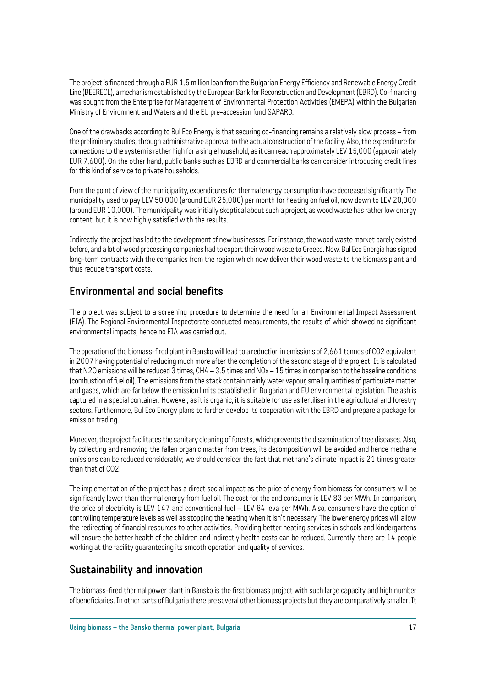The project is financed through a EUR 1.5 million loan from the Bulgarian Energy Efficiency and Renewable Energy Credit Line (BEERECL), a mechanism established by the European Bank for Reconstruction and Development (EBRD). Co-financing was sought from the Enterprise for Management of Environmental Protection Activities (EMEPA) within the Bulgarian Ministry of Environment and Waters and the EU pre-accession fund SAPARD.

One of the drawbacks according to Bul Eco Energy is that securing co-financing remains a relatively slow process – from the preliminary studies, through administrative approval to the actual construction of the facility. Also, the expenditure for connections to the system is rather high for a single household, as it can reach approximately LEV 15,000 (approximately EUR 7,600). On the other hand, public banks such as EBRD and commercial banks can consider introducing credit lines for this kind of service to private households.

From the point of view of the municipality, expenditures for thermal energy consumption have decreased significantly. The municipality used to pay LEV 50,000 (around EUR 25,000) per month for heating on fuel oil, now down to LEV 20,000 (around EUR 10,000). The municipality was initially skeptical about such a project, as wood waste has rather low energy content, but it is now highly satisfied with the results.

Indirectly, the project has led to the development of new businesses. For instance, the wood waste market barely existed before, and a lot of wood processing companies had to export their wood waste to Greece. Now, Bul Eco Energia has signed long-term contracts with the companies from the region which now deliver their wood waste to the biomass plant and thus reduce transport costs.

#### **Environmental and social benefits**

The project was subject to a screening procedure to determine the need for an Environmental Impact Assessment (EIA). The Regional Environmental Inspectorate conducted measurements, the results of which showed no significant environmental impacts, hence no EIA was carried out.

The operation of the biomass-fired plant in Bansko will lead to a reduction in emissions of 2,661 tonnes of CO2 equivalent in 2007 having potential of reducing much more after the completion of the second stage of the project. It is calculated that N2O emissions will be reduced 3 times, CH4 – 3.5 times and NOx – 15 times in comparison to the baseline conditions (combustion of fuel oil). The emissions from the stack contain mainly water vapour, small quantities of particulate matter and gases, which are far below the emission limits established in Bulgarian and EU environmental legislation. The ash is captured in a special container. However, as it is organic, it is suitable for use as fertiliser in the agricultural and forestry sectors. Furthermore, Bul Eco Energy plans to further develop its cooperation with the EBRD and prepare a package for emission trading.

Moreover, the project facilitates the sanitary cleaning of forests, which prevents the dissemination of tree diseases. Also, by collecting and removing the fallen organic matter from trees, its decomposition will be avoided and hence methane emissions can be reduced considerably; we should consider the fact that methane's climate impact is 21 times greater than that of CO2.

The implementation of the project has a direct social impact as the price of energy from biomass for consumers will be significantly lower than thermal energy from fuel oil. The cost for the end consumer is LEV 83 per MWh. In comparison, the price of electricity is LEV 147 and conventional fuel – LEV 84 leva per MWh. Also, consumers have the option of controlling temperature levels as well as stopping the heating when it isn't necessary. The lower energy prices will allow the redirecting of financial resources to other activities. Providing better heating services in schools and kindergartens will ensure the better health of the children and indirectly health costs can be reduced. Currently, there are 14 people working at the facility guaranteeing its smooth operation and quality of services.

#### **Sustainability and innovation**

The biomass-fired thermal power plant in Bansko is the first biomass project with such large capacity and high number of beneficiaries. In other parts of Bulgaria there are several other biomass projects but they are comparatively smaller. It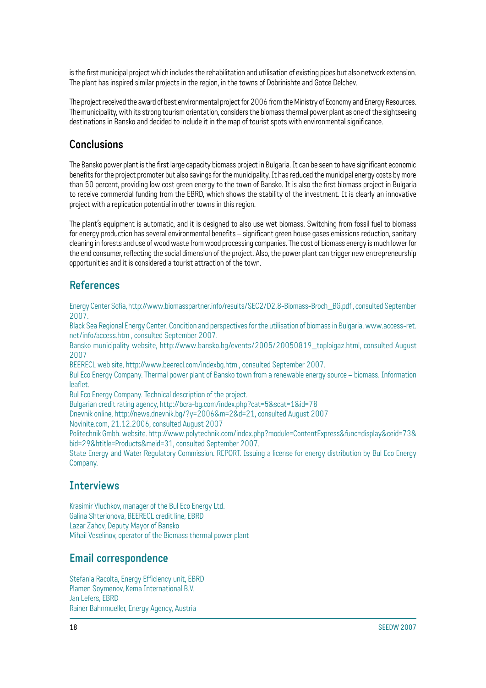is the first municipal project which includes the rehabilitation and utilisation of existing pipes but also network extension. The plant has inspired similar projects in the region, in the towns of Dobrinishte and Gotce Delchev.

The project received the award of best environmental project for 2006 from the Ministry of Economy and Energy Resources. The municipality, with its strong tourism orientation, considers the biomass thermal power plant as one of the sightseeing destinations in Bansko and decided to include it in the map of tourist spots with environmental significance.

#### **Conclusions**

The Bansko power plant is the first large capacity biomass project in Bulgaria. It can be seen to have significant economic benefits for the project promoter but also savings for the municipality. It has reduced the municipal energy costs by more than 50 percent, providing low cost green energy to the town of Bansko. It is also the first biomass project in Bulgaria to receive commercial funding from the EBRD, which shows the stability of the investment. It is clearly an innovative project with a replication potential in other towns in this region.

The plant's equipment is automatic, and it is designed to also use wet biomass. Switching from fossil fuel to biomass for energy production has several environmental benefits – significant green house gases emissions reduction, sanitary cleaning in forests and use of wood waste from wood processing companies. The cost of biomass energy is much lower for the end consumer, reflecting the social dimension of the project. Also, the power plant can trigger new entrepreneurship opportunities and it is considered a tourist attraction of the town.

#### **References**

Energy Center Sofia, http://www.biomasspartner.info/results/SEC2/D2.8-Biomass-Broch\_BG.pdf , consulted September 2007.

Black Sea Regional Energy Center. Condition and perspectives for the utilisation of biomass in Bulgaria. www.access-ret. net/info/access.htm , consulted September 2007.

Bansko municipality website, http://www.bansko.bg/events/2005/20050819\_toploigaz.html, consulted August 2007

BEERECL web site, http://www.beerecl.com/indexbg.htm , consulted September 2007.

Bul Eco Energy Company. Thermal power plant of Bansko town from a renewable energy source – biomass. Information leaflet.

Bul Eco Energy Company. Technical description of the project.

Bulgarian credit rating agency, http://bcra-bg.com/index.php?cat=5&scat=1&id=78

Dnevnik online, http://news.dnevnik.bg/?y=2006&m=2&d=21, consulted August 2007

Novinite.com, 21.12.2006, consulted August 2007

Politechnik Gmbh. website. http://www.polytechnik.com/index.php?module=ContentExpress&func=display&ceid=73& bid=29&btitle=Products&meid=31, consulted September 2007.

State Energy and Water Regulatory Commission. REPORT. Issuing a license for energy distribution by Bul Eco Energy Company.

#### **Interviews**

Krasimir Vluchkov, manager of the Bul Eco Energy Ltd. Galina Shterionova, BEERECL credit line, EBRD Lazar Zahov, Deputy Mayor of Bansko Mihail Veselinov, operator of the Biomass thermal power plant

#### **Email correspondence**

Stefania Racolta, Energy Efficiency unit, EBRD Plamen Soymenov, Kema International B.V. Jan Lefers, EBRD Rainer Bahnmueller, Energy Agency, Austria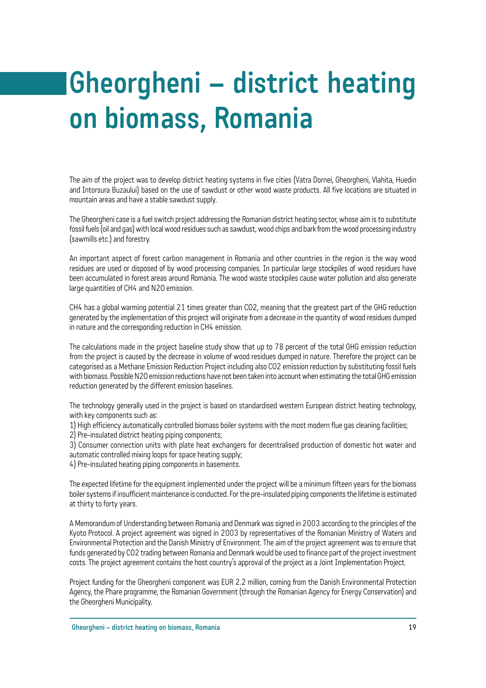# **Gheorgheni – district heating on biomass, Romania**

The aim of the project was to develop district heating systems in five cities (Vatra Dornei, Gheorgheni, Vlahita, Huedin and Intorsura Buzaului) based on the use of sawdust or other wood waste products. All five locations are situated in mountain areas and have a stable sawdust supply.

The Gheorgheni case is a fuel switch project addressing the Romanian district heating sector, whose aim is to substitute fossil fuels (oil and gas) with local wood residues such as sawdust, wood chips and bark from the wood processing industry (sawmills etc.) and forestry.

An important aspect of forest carbon management in Romania and other countries in the region is the way wood residues are used or disposed of by wood processing companies. In particular large stockpiles of wood residues have been accumulated in forest areas around Romania. The wood waste stockpiles cause water pollution and also generate large quantities of CH4 and N2O emission.

CH4 has a global warming potential 21 times greater than CO2, meaning that the greatest part of the GHG reduction generated by the implementation of this project will originate from a decrease in the quantity of wood residues dumped in nature and the corresponding reduction in CH4 emission.

The calculations made in the project baseline study show that up to 78 percent of the total GHG emission reduction from the project is caused by the decrease in volume of wood residues dumped in nature. Therefore the project can be categorised as a Methane Emission Reduction Project including also CO2 emission reduction by substituting fossil fuels with biomass. Possible N2O emission reductions have not been taken into account when estimating the total GHG emission reduction generated by the different emission baselines.

The technology generally used in the project is based on standardised western European district heating technology, with key components such as:

1) High efficiency automatically controlled biomass boiler systems with the most modern flue gas cleaning facilities;

2) Pre-insulated district heating piping components;

3) Consumer connection units with plate heat exchangers for decentralised production of domestic hot water and automatic controlled mixing loops for space heating supply;

4) Pre-insulated heating piping components in basements.

The expected lifetime for the equipment implemented under the project will be a minimum fifteen years for the biomass boiler systems if insufficient maintenance is conducted. For the pre-insulated piping components the lifetime is estimated at thirty to forty years.

A Memorandum of Understanding between Romania and Denmark was signed in 2003 according to the principles of the Kyoto Protocol. A project agreement was signed in 2003 by representatives of the Romanian Ministry of Waters and Environmental Protection and the Danish Ministry of Environment. The aim of the project agreement was to ensure that funds generated by CO2 trading between Romania and Denmark would be used to finance part of the project investment costs. The project agreement contains the host country's approval of the project as a Joint Implementation Project.

Project funding for the Gheorgheni component was EUR 2.2 million, coming from the Danish Environmental Protection Agency, the Phare programme, the Romanian Government (through the Romanian Agency for Energy Conservation) and the Gheorgheni Municipality.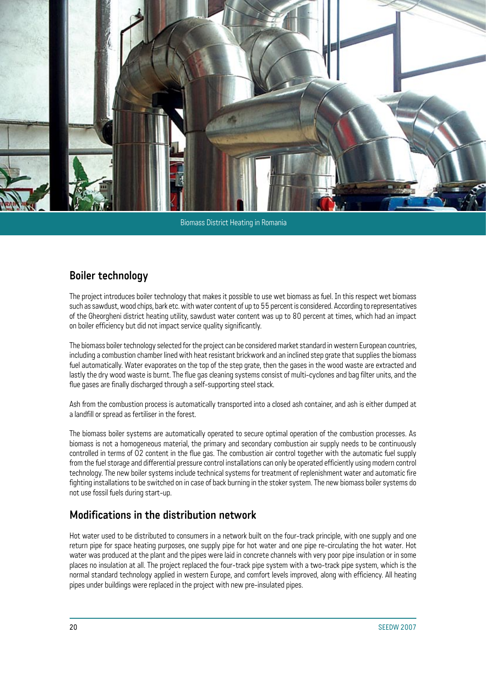![](_page_21_Picture_0.jpeg)

#### Biomass District Heating in Romania

#### **Boiler technology**

The project introduces boiler technology that makes it possible to use wet biomass as fuel. In this respect wet biomass such as sawdust, wood chips, bark etc. with water content of up to 55 percent is considered. According to representatives of the Gheorgheni district heating utility, sawdust water content was up to 80 percent at times, which had an impact on boiler efficiency but did not impact service quality significantly.

The biomass boiler technology selected for the project can be considered market standard in western European countries, including a combustion chamber lined with heat resistant brickwork and an inclined step grate that supplies the biomass fuel automatically. Water evaporates on the top of the step grate, then the gases in the wood waste are extracted and lastly the dry wood waste is burnt. The flue gas cleaning systems consist of multi-cyclones and bag filter units, and the flue gases are finally discharged through a self-supporting steel stack.

Ash from the combustion process is automatically transported into a closed ash container, and ash is either dumped at a landfill or spread as fertiliser in the forest.

The biomass boiler systems are automatically operated to secure optimal operation of the combustion processes. As biomass is not a homogeneous material, the primary and secondary combustion air supply needs to be continuously controlled in terms of O2 content in the flue gas. The combustion air control together with the automatic fuel supply from the fuel storage and differential pressure control installations can only be operated efficiently using modern control technology. The new boiler systems include technical systems for treatment of replenishment water and automatic fire fighting installations to be switched on in case of back burning in the stoker system. The new biomass boiler systems do not use fossil fuels during start-up.

#### **Modifications in the distribution network**

Hot water used to be distributed to consumers in a network built on the four-track principle, with one supply and one return pipe for space heating purposes, one supply pipe for hot water and one pipe re-circulating the hot water. Hot water was produced at the plant and the pipes were laid in concrete channels with very poor pipe insulation or in some places no insulation at all. The project replaced the four-track pipe system with a two-track pipe system, which is the normal standard technology applied in western Europe, and comfort levels improved, along with efficiency. All heating pipes under buildings were replaced in the project with new pre-insulated pipes.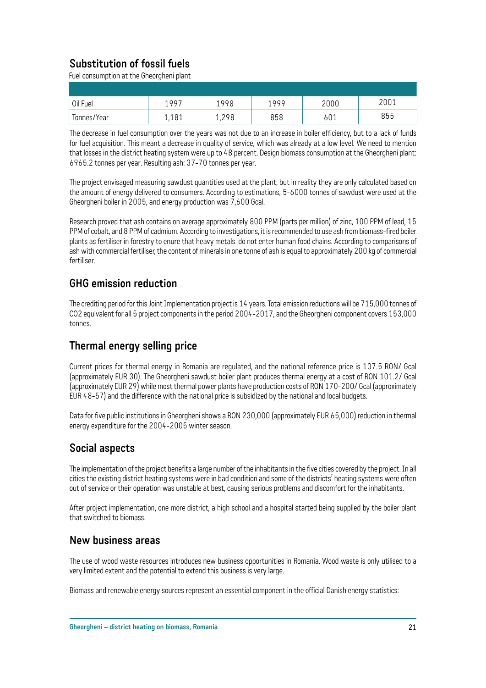## **Substitution of fossil fuels**

Fuel consumption at the Gheorgheni plant

| Oil Fuel    | 1997  | 1998  | 1999 | 2000 | 2001 |
|-------------|-------|-------|------|------|------|
| Tonnes/Year | 1,181 | 1,298 | 858  | 601  | 855  |

The decrease in fuel consumption over the years was not due to an increase in boiler efficiency, but to a lack of funds for fuel acquisition. This meant a decrease in quality of service, which was already at a low level. We need to mention that losses in the district heating system were up to 48 percent. Design biomass consumption at the Gheorgheni plant: 6965.2 tonnes per year. Resulting ash: 37-70 tonnes per year.

The project envisaged measuring sawdust quantities used at the plant, but in reality they are only calculated based on the amount of energy delivered to consumers. According to estimations, 5-6000 tonnes of sawdust were used at the Gheorgheni boiler in 2005, and energy production was 7,600 Gcal.

Research proved that ash contains on average approximately 800 PPM (parts per million) of zinc, 100 PPM of lead, 15 PPM of cobalt, and 8 PPM of cadmium. According to investigations, it is recommended to use ash from biomass-fired boiler plants as fertiliser in forestry to enure that heavy metals do not enter human food chains. According to comparisons of ash with commercial fertiliser, the content of minerals in one tonne of ash is equal to approximately 200 kg of commercial fertiliser.

#### **GHG emission reduction**

The crediting period for this Joint Implementation project is 14 years. Total emission reductions will be 715,000 tonnes of CO2 equivalent for all 5 project components in the period 2004-2017, and the Gheorgheni component covers 153,000 tonnes.

#### **Thermal energy selling price**

Current prices for thermal energy in Romania are regulated, and the national reference price is 107.5 RON/ Gcal (approximately EUR 30). The Gheorgheni sawdust boiler plant produces thermal energy at a cost of RON 101.2/ Gcal (approximately EUR 29) while most thermal power plants have production costs of RON 170-200/ Gcal (approximately EUR 48-57) and the difference with the national price is subsidized by the national and local budgets.

Data for five public institutions in Gheorgheni shows a RON 230,000 (approximately EUR 65,000) reduction in thermal energy expenditure for the 2004-2005 winter season.

#### **Social aspects**

The implementation of the project benefits a large number of the inhabitants in the five cities covered by the project. In all cities the existing district heating systems were in bad condition and some of the districts' heating systems were often out of service or their operation was unstable at best, causing serious problems and discomfort for the inhabitants.

After project implementation, one more district, a high school and a hospital started being supplied by the boiler plant that switched to biomass.

#### **New business areas**

The use of wood waste resources introduces new business opportunities in Romania. Wood waste is only utilised to a very limited extent and the potential to extend this business is very large.

Biomass and renewable energy sources represent an essential component in the official Danish energy statistics: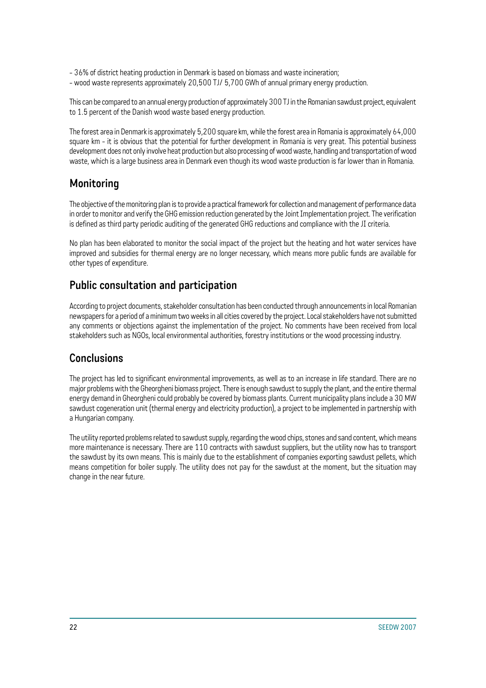- 36% of district heating production in Denmark is based on biomass and waste incineration;
- wood waste represents approximately 20,500 TJ/ 5,700 GWh of annual primary energy production.

This can be compared to an annual energy production of approximately 300 TJ in the Romanian sawdust project, equivalent to 1.5 percent of the Danish wood waste based energy production.

The forest area in Denmark is approximately 5,200 square km, while the forest area in Romania is approximately 64,000 square km - it is obvious that the potential for further development in Romania is very great. This potential business development does not only involve heat production but also processing of wood waste, handling and transportation of wood waste, which is a large business area in Denmark even though its wood waste production is far lower than in Romania.

#### **Monitoring**

The objective of the monitoring plan is to provide a practical framework for collection and management of performance data in order to monitor and verify the GHG emission reduction generated by the Joint Implementation project. The verification is defined as third party periodic auditing of the generated GHG reductions and compliance with the JI criteria.

No plan has been elaborated to monitor the social impact of the project but the heating and hot water services have improved and subsidies for thermal energy are no longer necessary, which means more public funds are available for other types of expenditure.

### **Public consultation and participation**

According to project documents, stakeholder consultation has been conducted through announcements in local Romanian newspapers for a period of a minimum two weeks in all cities covered by the project. Local stakeholders have not submitted any comments or objections against the implementation of the project. No comments have been received from local stakeholders such as NGOs, local environmental authorities, forestry institutions or the wood processing industry.

#### **Conclusions**

The project has led to significant environmental improvements, as well as to an increase in life standard. There are no major problems with the Gheorgheni biomass project. There is enough sawdust to supply the plant, and the entire thermal energy demand in Gheorgheni could probably be covered by biomass plants. Current municipality plans include a 30 MW sawdust cogeneration unit (thermal energy and electricity production), a project to be implemented in partnership with a Hungarian company.

The utility reported problems related to sawdust supply, regarding the wood chips, stones and sand content, which means more maintenance is necessary. There are 110 contracts with sawdust suppliers, but the utility now has to transport the sawdust by its own means. This is mainly due to the establishment of companies exporting sawdust pellets, which means competition for boiler supply. The utility does not pay for the sawdust at the moment, but the situation may change in the near future.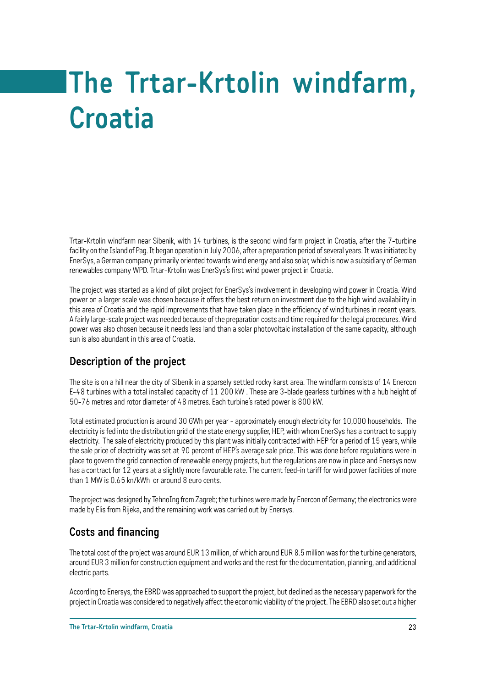# **The Trtar-Krtolin windfarm, Croatia**

Trtar-Krtolin windfarm near Sibenik, with 14 turbines, is the second wind farm project in Croatia, after the 7-turbine facility on the Island of Pag. It began operation in July 2006, after a preparation period of several years. It was initiated by EnerSys, a German company primarily oriented towards wind energy and also solar, which is now a subsidiary of German renewables company WPD. Trtar-Krtolin was EnerSys's first wind power project in Croatia.

The project was started as a kind of pilot project for EnerSys's involvement in developing wind power in Croatia. Wind power on a larger scale was chosen because it offers the best return on investment due to the high wind availability in this area of Croatia and the rapid improvements that have taken place in the efficiency of wind turbines in recent years. A fairly large-scale project was needed because of the preparation costs and time required for the legal procedures. Wind power was also chosen because it needs less land than a solar photovoltaic installation of the same capacity, although sun is also abundant in this area of Croatia.

## **Description of the project**

The site is on a hill near the city of Sibenik in a sparsely settled rocky karst area. The windfarm consists of 14 Enercon E-48 turbines with a total installed capacity of 11 200 kW . These are 3-blade gearless turbines with a hub height of 50-76 metres and rotor diameter of 48 metres. Each turbine's rated power is 800 kW.

Total estimated production is around 30 GWh per year - approximately enough electricity for 10,000 households. The electricity is fed into the distribution grid of the state energy supplier, HEP, with whom EnerSys has a contract to supply electricity. The sale of electricity produced by this plant was initially contracted with HEP for a period of 15 years, while the sale price of electricity was set at 90 percent of HEP's average sale price. This was done before regulations were in place to govern the grid connection of renewable energy projects, but the regulations are now in place and Enersys now has a contract for 12 years at a slightly more favourable rate. The current feed-in tariff for wind power facilities of more than 1 MW is 0.65 kn/kWh or around 8 euro cents.

The project was designed by TehnoIng from Zagreb; the turbines were made by Enercon of Germany; the electronics were made by Elis from Rijeka, and the remaining work was carried out by Enersys.

#### **Costs and financing**

The total cost of the project was around EUR 13 million, of which around EUR 8.5 million was for the turbine generators, around EUR 3 million for construction equipment and works and the rest for the documentation, planning, and additional electric parts.

According to Enersys, the EBRD was approached to support the project, but declined as the necessary paperwork for the project in Croatia was considered to negatively affect the economic viability of the project. The EBRD also set out a higher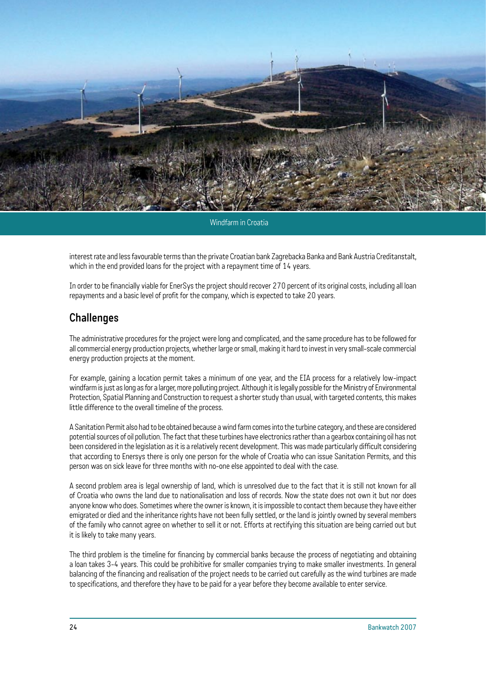![](_page_25_Picture_0.jpeg)

Windfarm in Croatia

interest rate and less favourable terms than the private Croatian bank Zagrebacka Banka and Bank Austria Creditanstalt, which in the end provided loans for the project with a repayment time of 14 years.

In order to be financially viable for EnerSys the project should recover 270 percent of its original costs, including all loan repayments and a basic level of profit for the company, which is expected to take 20 years.

#### **Challenges**

The administrative procedures for the project were long and complicated, and the same procedure has to be followed for all commercial energy production projects, whether large or small, making it hard to invest in very small-scale commercial energy production projects at the moment.

For example, gaining a location permit takes a minimum of one year, and the EIA process for a relatively low-impact windfarm is just as long as for a larger, more polluting project. Although it is legally possible for the Ministry of Environmental Protection, Spatial Planning and Construction to request a shorter study than usual, with targeted contents, this makes little difference to the overall timeline of the process.

A Sanitation Permit also had to be obtained because a wind farm comes into the turbine category, and these are considered potential sources of oil pollution. The fact that these turbines have electronics rather than a gearbox containing oil has not been considered in the legislation as it is a relatively recent development. This was made particularly difficult considering that according to Enersys there is only one person for the whole of Croatia who can issue Sanitation Permits, and this person was on sick leave for three months with no-one else appointed to deal with the case.

A second problem area is legal ownership of land, which is unresolved due to the fact that it is still not known for all of Croatia who owns the land due to nationalisation and loss of records. Now the state does not own it but nor does anyone know who does. Sometimes where the owner is known, it is impossible to contact them because they have either emigrated or died and the inheritance rights have not been fully settled, or the land is jointly owned by several members of the family who cannot agree on whether to sell it or not. Efforts at rectifying this situation are being carried out but it is likely to take many years.

The third problem is the timeline for financing by commercial banks because the process of negotiating and obtaining a loan takes 3-4 years. This could be prohibitive for smaller companies trying to make smaller investments. In general balancing of the financing and realisation of the project needs to be carried out carefully as the wind turbines are made to specifications, and therefore they have to be paid for a year before they become available to enter service.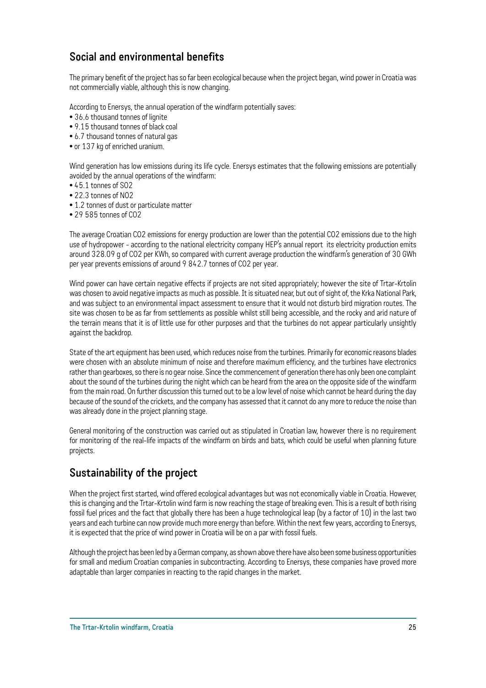### **Social and environmental benefits**

The primary benefit of the project has so far been ecological because when the project began, wind power in Croatia was not commercially viable, although this is now changing.

According to Enersys, the annual operation of the windfarm potentially saves:

- 36.6 thousand tonnes of lignite
- 9.15 thousand tonnes of black coal
- 6.7 thousand tonnes of natural gas
- or 137 kg of enriched uranium.

Wind generation has low emissions during its life cycle. Enersys estimates that the following emissions are potentially avoided by the annual operations of the windfarm:

- 45.1 tonnes of SO2
- 22.3 tonnes of NO2
- 1.2 tonnes of dust or particulate matter
- 29 585 tonnes of CO2

The average Croatian CO2 emissions for energy production are lower than the potential CO2 emissions due to the high use of hydropower - according to the national electricity company HEP's annual report its electricity production emits around 328.09 g of CO2 per KWh, so compared with current average production the windfarm's generation of 30 GWh per year prevents emissions of around 9 842.7 tonnes of CO2 per year.

Wind power can have certain negative effects if projects are not sited appropriately; however the site of Trtar-Krtolin was chosen to avoid negative impacts as much as possible. It is situated near, but out of sight of, the Krka National Park, and was subject to an environmental impact assessment to ensure that it would not disturb bird migration routes. The site was chosen to be as far from settlements as possible whilst still being accessible, and the rocky and arid nature of the terrain means that it is of little use for other purposes and that the turbines do not appear particularly unsightly against the backdrop.

State of the art equipment has been used, which reduces noise from the turbines. Primarily for economic reasons blades were chosen with an absolute minimum of noise and therefore maximum efficiency, and the turbines have electronics rather than gearboxes, so there is no gear noise. Since the commencement of generation there has only been one complaint about the sound of the turbines during the night which can be heard from the area on the opposite side of the windfarm from the main road. On further discussion this turned out to be a low level of noise which cannot be heard during the day because of the sound of the crickets, and the company has assessed that it cannot do any more to reduce the noise than was already done in the project planning stage.

General monitoring of the construction was carried out as stipulated in Croatian law, however there is no requirement for monitoring of the real-life impacts of the windfarm on birds and bats, which could be useful when planning future projects.

#### **Sustainability of the project**

When the project first started, wind offered ecological advantages but was not economically viable in Croatia. However, this is changing and the Trtar-Krtolin wind farm is now reaching the stage of breaking even. This is a result of both rising fossil fuel prices and the fact that globally there has been a huge technological leap (by a factor of 10) in the last two years and each turbine can now provide much more energy than before. Within the next few years, according to Enersys, it is expected that the price of wind power in Croatia will be on a par with fossil fuels.

Although the project has been led by a German company, as shown above there have also been some business opportunities for small and medium Croatian companies in subcontracting. According to Enersys, these companies have proved more adaptable than larger companies in reacting to the rapid changes in the market.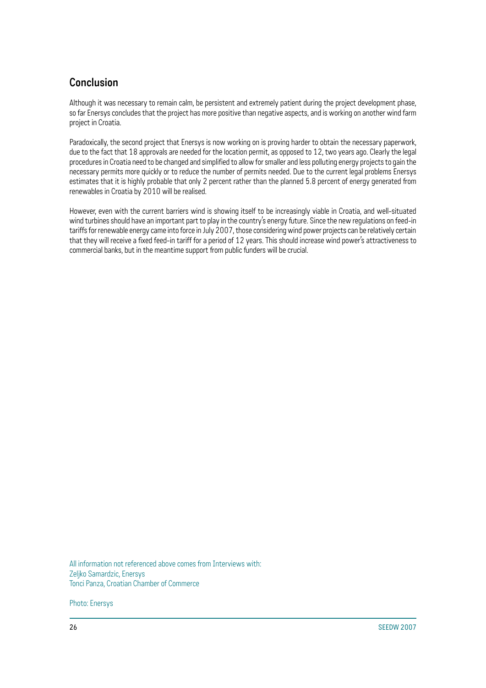### **Conclusion**

Although it was necessary to remain calm, be persistent and extremely patient during the project development phase, so far Enersys concludes that the project has more positive than negative aspects, and is working on another wind farm project in Croatia.

Paradoxically, the second project that Enersys is now working on is proving harder to obtain the necessary paperwork, due to the fact that 18 approvals are needed for the location permit, as opposed to 12, two years ago. Clearly the legal procedures in Croatia need to be changed and simplified to allow for smaller and less polluting energy projects to gain the necessary permits more quickly or to reduce the number of permits needed. Due to the current legal problems Enersys estimates that it is highly probable that only 2 percent rather than the planned 5.8 percent of energy generated from renewables in Croatia by 2010 will be realised.

However, even with the current barriers wind is showing itself to be increasingly viable in Croatia, and well-situated wind turbines should have an important part to play in the country's energy future. Since the new regulations on feed-in tariffs for renewable energy came into force in July 2007, those considering wind power projects can be relatively certain that they will receive a fixed feed-in tariff for a period of 12 years. This should increase wind power's attractiveness to commercial banks, but in the meantime support from public funders will be crucial.

All information not referenced above comes from Interviews with: Zeljko Samardzic, Enersys Tonci Panza, Croatian Chamber of Commerce

Photo: Enersys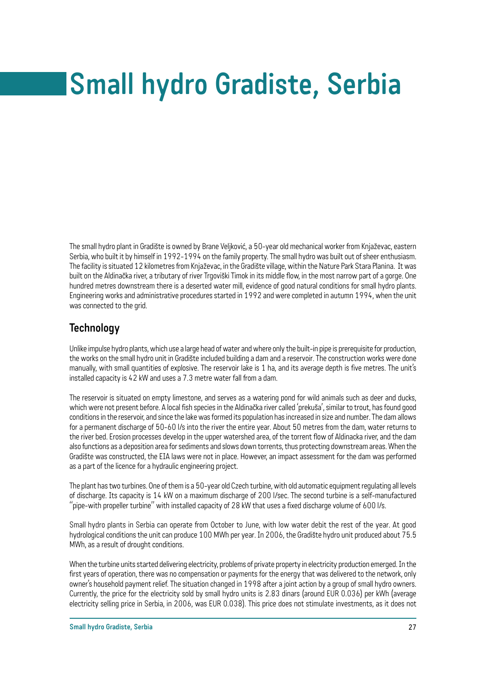# **Small hydro Gradiste, Serbia**

The small hydro plant in Gradište is owned by Brane Veljković, a 50-year old mechanical worker from Knjaževac, eastern Serbia, who built it by himself in 1992-1994 on the family property. The small hydro was built out of sheer enthusiasm. The facility is situated 12 kilometres from Knjaževac, in the Gradište village, within the Nature Park Stara Planina. It was built on the Aldinačka river, a tributary of river Trgoviški Timok in its middle flow, in the most narrow part of a gorge. One hundred metres downstream there is a deserted water mill, evidence of good natural conditions for small hydro plants. Engineering works and administrative procedures started in 1992 and were completed in autumn 1994, when the unit was connected to the grid.

#### **Technology**

Unlike impulse hydro plants, which use a large head of water and where only the built-in pipe is prerequisite for production, the works on the small hydro unit in Gradište included building a dam and a reservoir. The construction works were done manually, with small quantities of explosive. The reservoir lake is 1 ha, and its average depth is five metres. The unit's installed capacity is 42 kW and uses a 7.3 metre water fall from a dam.

The reservoir is situated on empty limestone, and serves as a watering pond for wild animals such as deer and ducks, which were not present before. A local fish species in the Aldinačka river called 'prekuša', similar to trout, has found good conditions in the reservoir, and since the lake was formed its population has increased in size and number. The dam allows for a permanent discharge of 50-60 l/s into the river the entire year. About 50 metres from the dam, water returns to the river bed. Erosion processes develop in the upper watershed area, of the torrent flow of Aldinacka river, and the dam also functions as a deposition area for sediments and slows down torrents, thus protecting downstream areas. When the Gradište was constructed, the EIA laws were not in place. However, an impact assessment for the dam was performed as a part of the licence for a hydraulic engineering project.

The plant has two turbines. One of them is a 50-year old Czech turbine, with old automatic equipment regulating all levels of discharge. Its capacity is 14 kW on a maximum discharge of 200 l/sec. The second turbine is a self-manufactured "pipe-with propeller turbine" with installed capacity of 28 kW that uses a fixed discharge volume of 600 l/s.

Small hydro plants in Serbia can operate from October to June, with low water debit the rest of the year. At good hydrological conditions the unit can produce 100 MWh per year. In 2006, the Gradište hydro unit produced about 75.5 MWh, as a result of drought conditions.

When the turbine units started delivering electricity, problems of private property in electricity production emerged. In the first years of operation, there was no compensation or payments for the energy that was delivered to the network, only owner's household payment relief. The situation changed in 1998 after a joint action by a group of small hydro owners. Currently, the price for the electricity sold by small hydro units is 2.83 dinars (around EUR 0.036) per kWh (average electricity selling price in Serbia, in 2006, was EUR 0.038). This price does not stimulate investments, as it does not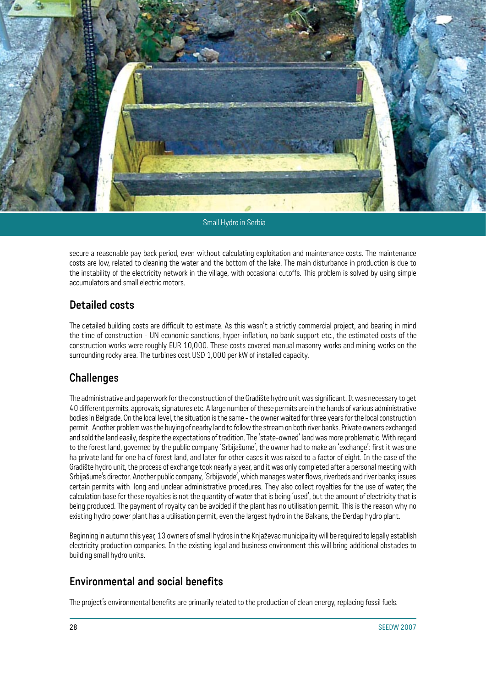![](_page_29_Picture_0.jpeg)

Small Hydro in Serbia

secure a reasonable pay back period, even without calculating exploitation and maintenance costs. The maintenance costs are low, related to cleaning the water and the bottom of the lake. The main disturbance in production is due to the instability of the electricity network in the village, with occasional cutoffs. This problem is solved by using simple accumulators and small electric motors.

#### **Detailed costs**

The detailed building costs are difficult to estimate. As this wasn't a strictly commercial project, and bearing in mind the time of construction - UN economic sanctions, hyper-inflation, no bank support etc., the estimated costs of the construction works were roughly EUR 10,000. These costs covered manual masonry works and mining works on the surrounding rocky area. The turbines cost USD 1,000 per kW of installed capacity.

#### **Challenges**

The administrative and paperwork for the construction of the Gradište hydro unit was significant. It was necessary to get 40 different permits, approvals, signatures etc. A large number of these permits are in the hands of various administrative bodies in Belgrade. On the local level, the situation is the same - the owner waited for three years for the local construction permit. Another problem was the buying of nearby land to follow the stream on both river banks. Private owners exchanged and sold the land easily, despite the expectations of tradition. The 'state-owned' land was more problematic. With regard to the forest land, governed by the public company 'Srbijašume', the owner had to make an 'exchange': first it was one ha private land for one ha of forest land, and later for other cases it was raised to a factor of eight. In the case of the Gradište hydro unit, the process of exchange took nearly a year, and it was only completed after a personal meeting with Srbijašume's director. Another public company, 'Srbijavode', which manages water flows, riverbeds and river banks; issues certain permits with long and unclear administrative procedures. They also collect royalties for the use of water; the calculation base for these royalties is not the quantity of water that is being 'used', but the amount of electricity that is being produced. The payment of royalty can be avoided if the plant has no utilisation permit. This is the reason why no existing hydro power plant has a utilisation permit, even the largest hydro in the Balkans, the Đerdap hydro plant.

Beginning in autumn this year, 13 owners of small hydros in the Knjaževac municipality will be required to legally establish electricity production companies. In the existing legal and business environment this will bring additional obstacles to building small hydro units.

#### **Environmental and social benefits**

The project's environmental benefits are primarily related to the production of clean energy, replacing fossil fuels.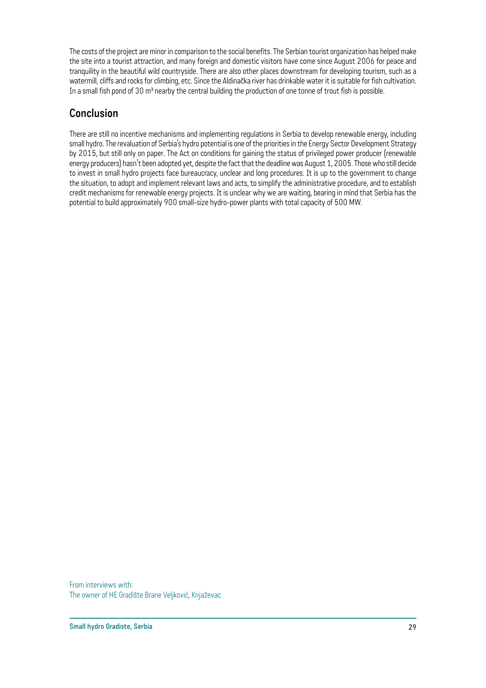The costs of the project are minor in comparison to the social benefits. The Serbian tourist organization has helped make the site into a tourist attraction, and many foreign and domestic visitors have come since August 2006 for peace and tranquility in the beautiful wild countryside. There are also other places downstream for developing tourism, such as a watermill, cliffs and rocks for climbing, etc. Since the Aldinačka river has drinkable water it is suitable for fish cultivation. In a small fish pond of 30 m<sup>3</sup> nearby the central building the production of one tonne of trout fish is possible.

#### **Conclusion**

There are still no incentive mechanisms and implementing regulations in Serbia to develop renewable energy, including small hydro. The revaluation of Serbia's hydro potential is one of the priorities in the Energy Sector Development Strategy by 2015, but still only on paper. The Act on conditions for gaining the status of privileged power producer (renewable energy producers) hasn't been adopted yet, despite the fact that the deadline was August 1, 2005. Those who still decide to invest in small hydro projects face bureaucracy, unclear and long procedures. It is up to the government to change the situation, to adopt and implement relevant laws and acts, to simplify the administrative procedure, and to establish credit mechanisms for renewable energy projects. It is unclear why we are waiting, bearing in mind that Serbia has the potential to build approximately 900 small-size hydro-power plants with total capacity of 500 MW.

From interviews with: The owner of HE Gradište Brane Veljković, Knjaževac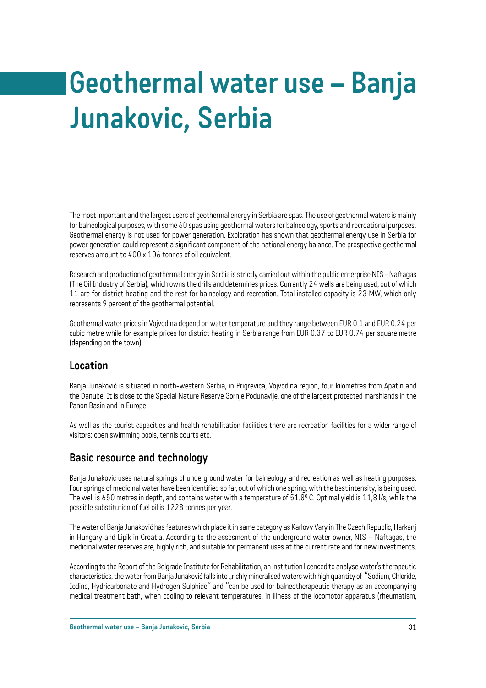# **Geothermal water use – Banja Junakovic, Serbia**

The most important and the largest users of geothermal energy in Serbia are spas. The use of geothermal waters is mainly for balneological purposes, with some 60 spas using geothermal waters for balneology, sports and recreational purposes. Geothermal energy is not used for power generation. Exploration has shown that geothermal energy use in Serbia for power generation could represent a significant component of the national energy balance. The prospective geothermal reserves amount to 400 x 106 tonnes of oil equivalent.

Research and production of geothermal energy in Serbia is strictly carried out within the public enterprise NIS - Naftagas (The Oil Industry of Serbia), which owns the drills and determines prices. Currently 24 wells are being used, out of which 11 are for district heating and the rest for balneology and recreation. Total installed capacity is 23 MW, which only represents 9 percent of the geothermal potential.

Geothermal water prices in Vojvodina depend on water temperature and they range between EUR 0.1 and EUR 0.24 per cubic metre while for example prices for district heating in Serbia range from EUR 0.37 to EUR 0.74 per square metre (depending on the town).

#### **Location**

Banja Junaković is situated in north-western Serbia, in Prigrevica, Vojvodina region, four kilometres from Apatin and the Danube. It is close to the Special Nature Reserve Gornje Podunavlje, one of the largest protected marshlands in the Panon Basin and in Europe.

As well as the tourist capacities and health rehabilitation facilities there are recreation facilities for a wider range of visitors: open swimming pools, tennis courts etc.

#### **Basic resource and technology**

Banja Junaković uses natural springs of underground water for balneology and recreation as well as heating purposes. Four springs of medicinal water have been identified so far, out of which one spring, with the best intensity, is being used. The well is 650 metres in depth, and contains water with a temperature of 51.8°C. Optimal yield is 11.8 l/s, while the possible substitution of fuel oil is 1228 tonnes per year.

The water of Banja Junaković has features which place it in same category as Karlovy Vary in The Czech Republic, Harkanj in Hungary and Lipik in Croatia. According to the assesment of the underground water owner, NIS – Naftagas, the medicinal water reserves are, highly rich, and suitable for permanent uses at the current rate and for new investments.

According to the Report of the Belgrade Institute for Rehabilitation, an institution licenced to analyse water's therapeutic characteristics, the water from Banja Junaković falls into "richly mineralised waters with high quantity of "Sodium, Chloride, Iodine, Hydricarbonate and Hydrogen Sulphide" and "can be used for balneotherapeutic therapy as an accompanying medical treatment bath, when cooling to relevant temperatures, in illness of the locomotor apparatus (rheumatism,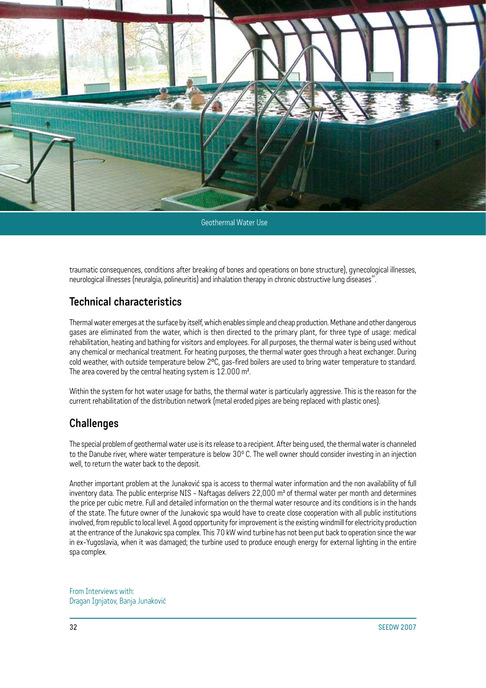![](_page_33_Picture_0.jpeg)

Geothermal Water Use

traumatic consequences, conditions after breaking of bones and operations on bone structure), gynecological illnesses, neurological illnesses (neuralgia, polineuritis) and inhalation therapy in chronic obstructive lung diseases".

#### **Technical characteristics**

Thermal water emerges at the surface by itself, which enables simple and cheap production. Methane and other dangerous gases are eliminated from the water, which is then directed to the primary plant, for three type of usage: medical rehabilitation, heating and bathing for visitors and employees. For all purposes, the thermal water is being used without any chemical or mechanical treatment. For heating purposes, the thermal water goes through a heat exchanger. During cold weather, with outside temperature below 2°C, gas-fired boilers are used to bring water temperature to standard. The area covered by the central heating system is 12.000 m².

Within the system for hot water usage for baths, the thermal water is particularly aggressive. This is the reason for the current rehabilitation of the distribution network (metal eroded pipes are being replaced with plastic ones).

#### **Challenges**

The special problem of geothermal water use is its release to a recipient. After being used, the thermal water is channeled to the Danube river, where water temperature is below  $30^{\circ}$  C. The well owner should consider investing in an injection well, to return the water back to the deposit.

Another important problem at the Junaković spa is access to thermal water information and the non availability of full inventory data. The public enterprise NIS - Naftagas delivers 22,000 m<sup>3</sup> of thermal water per month and determines the price per cubic metre. Full and detailed information on the thermal water resource and its conditions is in the hands of the state. The future owner of the Junakovic spa would have to create close cooperation with all public institutions involved, from republic to local level. A good opportunity for improvement is the existing windmill for electricity production at the entrance of the Junakovic spa complex. This 70 kW wind turbine has not been put back to operation since the war in ex-Yugoslavia, when it was damaged; the turbine used to produce enough energy for external lighting in the entire spa complex.

From Interviews with: Dragan Ignjatov, Banja Junaković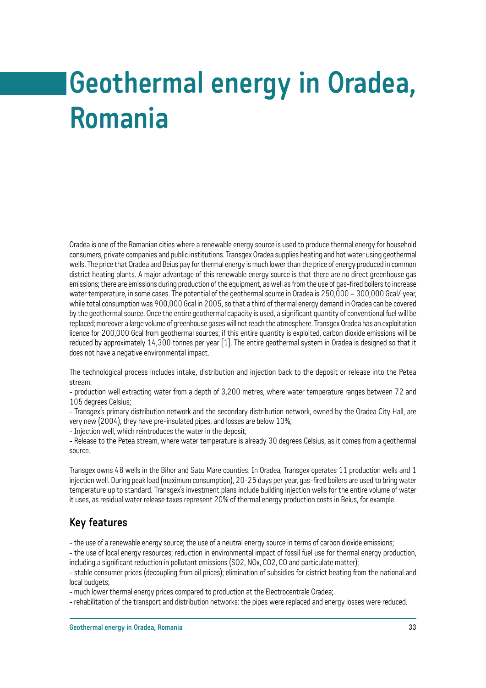# **Geothermal energy in Oradea, Romania**

Oradea is one of the Romanian cities where a renewable energy source is used to produce thermal energy for household consumers, private companies and public institutions. Transgex Oradea supplies heating and hot water using geothermal wells. The price that Oradea and Beius pay for thermal energy is much lower than the price of energy produced in common district heating plants. A major advantage of this renewable energy source is that there are no direct greenhouse gas emissions; there are emissions during production of the equipment, as well as from the use of gas-fired boilers to increase water temperature, in some cases. The potential of the geothermal source in Oradea is 250,000 – 300,000 Gcal/ year, while total consumption was 900,000 Gcal in 2005, so that a third of thermal energy demand in Oradea can be covered by the geothermal source. Once the entire geothermal capacity is used, a significant quantity of conventional fuel will be replaced; moreover a large volume of greenhouse gases will not reach the atmosphere. Transgex Oradea has an exploitation licence for 200,000 Gcal from geothermal sources; if this entire quantity is exploited, carbon dioxide emissions will be reduced by approximately 14,300 tonnes per year [1]. The entire geothermal system in Oradea is designed so that it does not have a negative environmental impact.

The technological process includes intake, distribution and injection back to the deposit or release into the Petea stream:

- production well extracting water from a depth of 3,200 metres, where water temperature ranges between 72 and 105 degrees Celsius;

- Transgex's primary distribution network and the secondary distribution network, owned by the Oradea City Hall, are very new (2004), they have pre-insulated pipes, and losses are below 10%;

- Injection well, which reintroduces the water in the deposit;

- Release to the Petea stream, where water temperature is already 30 degrees Celsius, as it comes from a geothermal source.

Transgex owns 48 wells in the Bihor and Satu Mare counties. In Oradea, Transgex operates 11 production wells and 1 injection well. During peak load (maximum consumption), 20-25 days per year, gas-fired boilers are used to bring water temperature up to standard. Transgex's investment plans include building injection wells for the entire volume of water it uses, as residual water release taxes represent 20% of thermal energy production costs in Beius, for example.

#### **Key features**

- the use of a renewable energy source; the use of a neutral energy source in terms of carbon dioxide emissions;

- the use of local energy resources; reduction in environmental impact of fossil fuel use for thermal energy production, including a significant reduction in pollutant emissions (SO2, NOx, CO2, CO and particulate matter);

- stable consumer prices (decoupling from oil prices); elimination of subsidies for district heating from the national and local budgets;

- much lower thermal energy prices compared to production at the Electrocentrale Oradea;

- rehabilitation of the transport and distribution networks: the pipes were replaced and energy losses were reduced.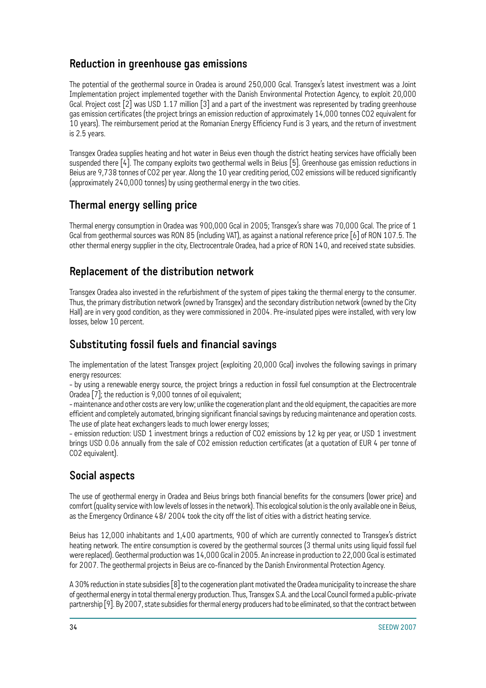#### **Reduction in greenhouse gas emissions**

The potential of the geothermal source in Oradea is around 250,000 Gcal. Transgex's latest investment was a Joint Implementation project implemented together with the Danish Environmental Protection Agency, to exploit 20,000 Gcal. Project cost [2] was USD 1.17 million [3] and a part of the investment was represented by trading greenhouse gas emission certificates (the project brings an emission reduction of approximately 14,000 tonnes CO2 equivalent for 10 years). The reimbursement period at the Romanian Energy Efficiency Fund is 3 years, and the return of investment is 2.5 years.

Transgex Oradea supplies heating and hot water in Beius even though the district heating services have officially been suspended there [4]. The company exploits two geothermal wells in Beius [5]. Greenhouse gas emission reductions in Beius are 9,738 tonnes of CO2 per year. Along the 10 year crediting period, CO2 emissions will be reduced significantly (approximately 240,000 tonnes) by using geothermal energy in the two cities.

#### **Thermal energy selling price**

Thermal energy consumption in Oradea was 900,000 Gcal in 2005; Transgex's share was 70,000 Gcal. The price of 1 Gcal from geothermal sources was RON 85 (including VAT), as against a national reference price [6] of RON 107.5. The other thermal energy supplier in the city, Electrocentrale Oradea, had a price of RON 140, and received state subsidies.

## **Replacement of the distribution network**

Transgex Oradea also invested in the refurbishment of the system of pipes taking the thermal energy to the consumer. Thus, the primary distribution network (owned by Transgex) and the secondary distribution network (owned by the City Hall) are in very good condition, as they were commissioned in 2004. Pre-insulated pipes were installed, with very low losses, below 10 percent.

### **Substituting fossil fuels and financial savings**

The implementation of the latest Transgex project (exploiting 20,000 Gcal) involves the following savings in primary energy resources:

- by using a renewable energy source, the project brings a reduction in fossil fuel consumption at the Electrocentrale Oradea [7]; the reduction is 9,000 tonnes of oil equivalent;

- maintenance and other costs are very low; unlike the cogeneration plant and the old equipment, the capacities are more efficient and completely automated, bringing significant financial savings by reducing maintenance and operation costs. The use of plate heat exchangers leads to much lower energy losses;

- emission reduction: USD 1 investment brings a reduction of CO2 emissions by 12 kg per year, or USD 1 investment brings USD 0.06 annually from the sale of CO2 emission reduction certificates (at a quotation of EUR 4 per tonne of CO<sub>2</sub> equivalent).

#### **Social aspects**

The use of geothermal energy in Oradea and Beius brings both financial benefits for the consumers (lower price) and comfort (quality service with low levels of losses in the network). This ecological solution is the only available one in Beius, as the Emergency Ordinance 48/ 2004 took the city off the list of cities with a district heating service.

Beius has 12,000 inhabitants and 1,400 apartments, 900 of which are currently connected to Transgex's district heating network. The entire consumption is covered by the geothermal sources (3 thermal units using liquid fossil fuel were replaced). Geothermal production was 14,000 Gcal in 2005. An increase in production to 22,000 Gcal is estimated for 2007. The geothermal projects in Beius are co-financed by the Danish Environmental Protection Agency.

A 30% reduction in state subsidies [8] to the cogeneration plant motivated the Oradea municipality to increase the share of geothermal energy in total thermal energy production. Thus, Transgex S.A. and the Local Council formed a public-private partnership [9]. By 2007, state subsidies for thermal energy producers had to be eliminated, so that the contract between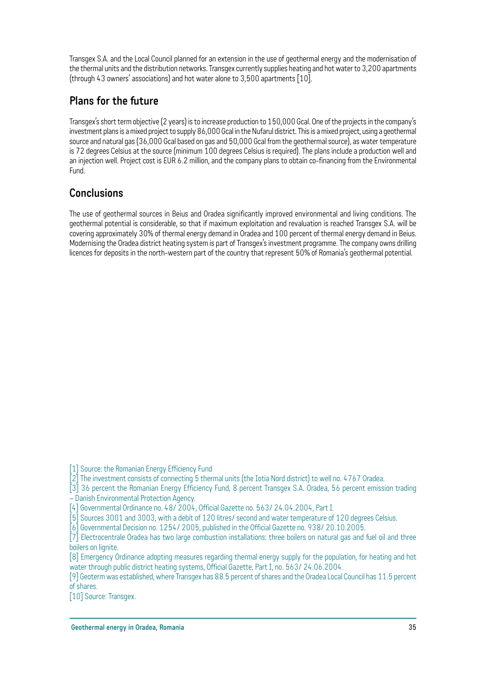Transgex S.A. and the Local Council planned for an extension in the use of geothermal energy and the modernisation of the thermal units and the distribution networks. Transgex currently supplies heating and hot water to 3,200 apartments (through 43 owners' associations) and hot water alone to 3,500 apartments [10].

## **Plans for the future**

Transgex's short term objective (2 years) is to increase production to 150,000 Gcal. One of the projects in the company's investment plans is a mixed project to supply 86,000 Gcal in the Nufarul district. This is a mixed project, using a geothermal source and natural gas (36,000 Gcal based on gas and 50,000 Gcal from the geothermal source), as water temperature is 72 degrees Celsius at the source (minimum 100 degrees Celsius is required). The plans include a production well and an injection well. Project cost is EUR 6.2 million, and the company plans to obtain co-financing from the Environmental Fund.

## **Conclusions**

The use of geothermal sources in Beius and Oradea significantly improved environmental and living conditions. The geothermal potential is considerable, so that if maximum exploitation and revaluation is reached Transgex S.A. will be covering approximately 30% of thermal energy demand in Oradea and 100 percent of thermal energy demand in Beius. Modernising the Oradea district heating system is part of Transgex's investment programme. The company owns drilling licences for deposits in the north-western part of the country that represent 50% of Romania's geothermal potential.

[1] Source: the Romanian Energy Efficiency Fund

[2] The investment consists of connecting 5 thermal units (the Iotia Nord district) to well no. 4767 Oradea.

[3] 36 percent the Romanian Energy Efficiency Fund, 8 percent Transgex S.A. Oradea, 56 percent emission trading – Danish Environmental Protection Agency.

[4] Governmental Ordinance no. 48/ 2004, Official Gazette no. 563/ 24.04.2004, Part I.

[5] Sources 3001 and 3003, with a debit of 120 litres/ second and water temperature of 120 degrees Celsius.

[6] Governmental Decision no. 1254/ 2005, published in the Official Gazette no. 938/ 20.10.2005.

[7] Electrocentrale Oradea has two large combustion installations: three boilers on natural gas and fuel oil and three boilers on lignite.

[8] Emergency Ordinance adopting measures regarding thermal energy supply for the population, for heating and hot water through public district heating systems, Official Gazette, Part I, no. 563/ 24.06.2004.

[9] Geoterm was established, where Transgex has 88.5 percent of shares and the Oradea Local Council has 11.5 percent of shares.

[10] Source: Transgex.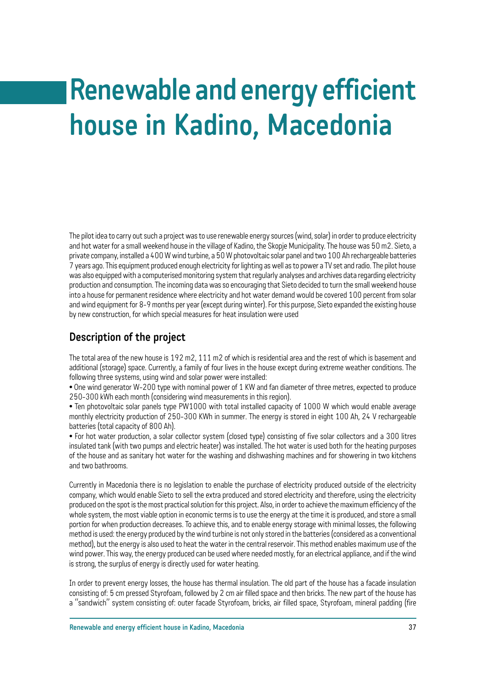# **Renewable and energy efficient house in Kadino, Macedonia**

The pilot idea to carry out such a project was to use renewable energy sources (wind, solar) in order to produce electricity and hot water for a small weekend house in the village of Kadino, the Skopje Municipality. The house was 50 m2. Sieto, a private company, installed a 400 W wind turbine, a 50 W photovoltaic solar panel and two 100 Ah rechargeable batteries 7 years ago. This equipment produced enough electricity for lighting as well as to power a TV set and radio. The pilot house was also equipped with a computerised monitoring system that regularly analyses and archives data regarding electricity production and consumption. The incoming data was so encouraging that Sieto decided to turn the small weekend house into a house for permanent residence where electricity and hot water demand would be covered 100 percent from solar and wind equipment for 8-9 months per year (except during winter). For this purpose, Sieto expanded the existing house by new construction, for which special measures for heat insulation were used

#### **Description of the project**

The total area of the new house is 192 m2, 111 m2 of which is residential area and the rest of which is basement and additional (storage) space. Currently, a family of four lives in the house except during extreme weather conditions. The following three systems, using wind and solar power were installed:

• One wind generator W-200 type with nominal power of 1 KW and fan diameter of three metres, expected to produce 250-300 kWh each month (considering wind measurements in this region).

• Ten photovoltaic solar panels type PW1000 with total installed capacity of 1000 W which would enable average monthly electricity production of 250-300 KWh in summer. The energy is stored in eight 100 Ah, 24 V rechargeable batteries (total capacity of 800 Ah).

• For hot water production, a solar collector system (closed type) consisting of five solar collectors and a 300 litres insulated tank (with two pumps and electric heater) was installed. The hot water is used both for the heating purposes of the house and as sanitary hot water for the washing and dishwashing machines and for showering in two kitchens and two bathrooms.

Currently in Macedonia there is no legislation to enable the purchase of electricity produced outside of the electricity company, which would enable Sieto to sell the extra produced and stored electricity and therefore, using the electricity produced on the spot is the most practical solution for this project. Also, in order to achieve the maximum efficiency of the whole system, the most viable option in economic terms is to use the energy at the time it is produced, and store a small portion for when production decreases. To achieve this, and to enable energy storage with minimal losses, the following method is used: the energy produced by the wind turbine is not only stored in the batteries (considered as a conventional method), but the energy is also used to heat the water in the central reservoir. This method enables maximum use of the wind power. This way, the energy produced can be used where needed mostly, for an electrical appliance, and if the wind is strong, the surplus of energy is directly used for water heating.

In order to prevent energy losses, the house has thermal insulation. The old part of the house has a facade insulation consisting of: 5 cm pressed Styrofoam, followed by 2 cm air filled space and then bricks. The new part of the house has a "sandwich" system consisting of: outer facade Styrofoam, bricks, air filled space, Styrofoam, mineral padding (fire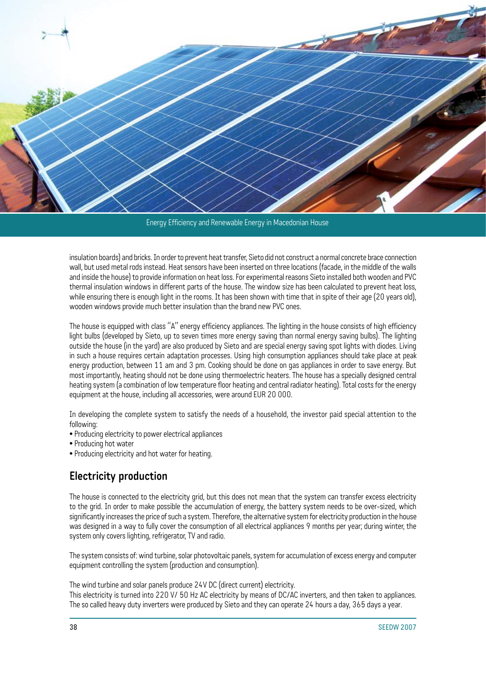![](_page_39_Picture_0.jpeg)

Energy Efficiency and Renewable Energy in Macedonian House

insulation boards) and bricks. In order to prevent heat transfer, Sieto did not construct a normal concrete brace connection wall, but used metal rods instead. Heat sensors have been inserted on three locations (facade, in the middle of the walls and inside the house) to provide information on heat loss. For experimental reasons Sieto installed both wooden and PVC thermal insulation windows in different parts of the house. The window size has been calculated to prevent heat loss, while ensuring there is enough light in the rooms. It has been shown with time that in spite of their age (20 years old), wooden windows provide much better insulation than the brand new PVC ones.

The house is equipped with class "A" energy efficiency appliances. The lighting in the house consists of high efficiency light bulbs (developed by Sieto, up to seven times more energy saving than normal energy saving bulbs). The lighting outside the house (in the yard) are also produced by Sieto and are special energy saving spot lights with diodes. Living in such a house requires certain adaptation processes. Using high consumption appliances should take place at peak energy production, between 11 am and 3 pm. Cooking should be done on gas appliances in order to save energy. But most importantly, heating should not be done using thermoelectric heaters. The house has a specially designed central heating system (a combination of low temperature floor heating and central radiator heating). Total costs for the energy equipment at the house, including all accessories, were around EUR 20 000.

In developing the complete system to satisfy the needs of a household, the investor paid special attention to the following:

- Producing electricity to power electrical appliances
- Producing hot water
- Producing electricity and hot water for heating.

#### **Electricity production**

The house is connected to the electricity grid, but this does not mean that the system can transfer excess electricity to the grid. In order to make possible the accumulation of energy, the battery system needs to be over-sized, which significantly increases the price of such a system. Therefore, the alternative system for electricity production in the house was designed in a way to fully cover the consumption of all electrical appliances 9 months per year; during winter, the system only covers lighting, refrigerator, TV and radio.

The system consists of: wind turbine, solar photovoltaic panels, system for accumulation of excess energy and computer equipment controlling the system (production and consumption).

The wind turbine and solar panels produce 24V DC (direct current) electricity.

This electricity is turned into 220 V/ 50 Hz AC electricity by means of DC/AC inverters, and then taken to appliances. The so called heavy duty inverters were produced by Sieto and they can operate 24 hours a day, 365 days a year.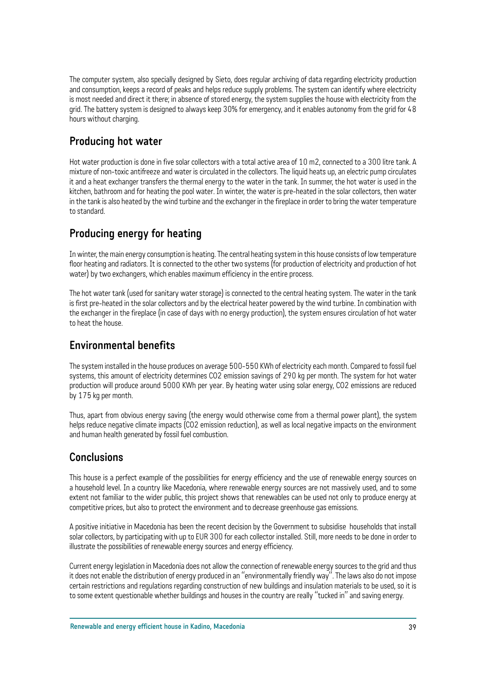The computer system, also specially designed by Sieto, does regular archiving of data regarding electricity production and consumption, keeps a record of peaks and helps reduce supply problems. The system can identify where electricity is most needed and direct it there; in absence of stored energy, the system supplies the house with electricity from the grid. The battery system is designed to always keep 30% for emergency, and it enables autonomy from the grid for 48 hours without charging.

#### **Producing hot water**

Hot water production is done in five solar collectors with a total active area of 10 m2, connected to a 300 litre tank. A mixture of non-toxic antifreeze and water is circulated in the collectors. The liquid heats up, an electric pump circulates it and a heat exchanger transfers the thermal energy to the water in the tank. In summer, the hot water is used in the kitchen, bathroom and for heating the pool water. In winter, the water is pre-heated in the solar collectors, then water in the tank is also heated by the wind turbine and the exchanger in the fireplace in order to bring the water temperature to standard.

## **Producing energy for heating**

In winter, the main energy consumption is heating. The central heating system in this house consists of low temperature floor heating and radiators. It is connected to the other two systems (for production of electricity and production of hot water) by two exchangers, which enables maximum efficiency in the entire process.

The hot water tank (used for sanitary water storage) is connected to the central heating system. The water in the tank is first pre-heated in the solar collectors and by the electrical heater powered by the wind turbine. In combination with the exchanger in the fireplace (in case of days with no energy production), the system ensures circulation of hot water to heat the house.

#### **Environmental benefits**

The system installed in the house produces on average 500-550 KWh of electricity each month. Compared to fossil fuel systems, this amount of electricity determines CO2 emission savings of 290 kg per month. The system for hot water production will produce around 5000 KWh per year. By heating water using solar energy, CO2 emissions are reduced by 175 kg per month.

Thus, apart from obvious energy saving (the energy would otherwise come from a thermal power plant), the system helps reduce negative climate impacts (CO2 emission reduction), as well as local negative impacts on the environment and human health generated by fossil fuel combustion.

#### **Conclusions**

This house is a perfect example of the possibilities for energy efficiency and the use of renewable energy sources on a household level. In a country like Macedonia, where renewable energy sources are not massively used, and to some extent not familiar to the wider public, this project shows that renewables can be used not only to produce energy at competitive prices, but also to protect the environment and to decrease greenhouse gas emissions.

A positive initiative in Macedonia has been the recent decision by the Government to subsidise households that install solar collectors, by participating with up to EUR 300 for each collector installed. Still, more needs to be done in order to illustrate the possibilities of renewable energy sources and energy efficiency.

Current energy legislation in Macedonia does not allow the connection of renewable energy sources to the grid and thus it does not enable the distribution of energy produced in an "environmentally friendly way". The laws also do not impose certain restrictions and regulations regarding construction of new buildings and insulation materials to be used, so it is to some extent questionable whether buildings and houses in the country are really "tucked in" and saving energy.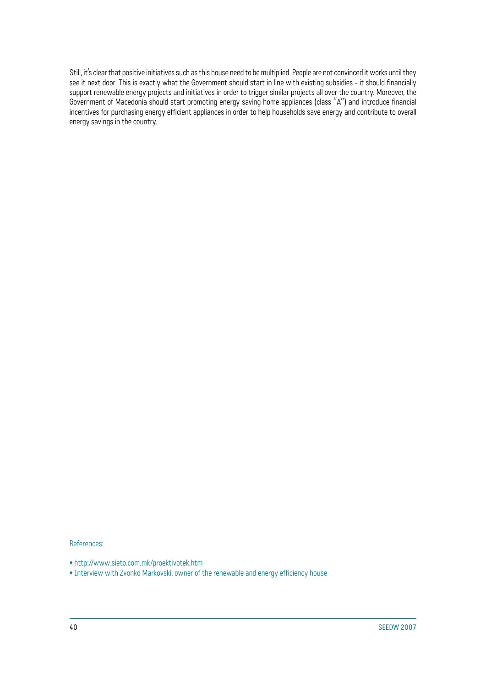Still, it's clear that positive initiatives such as this house need to be multiplied. People are not convinced it works until they see it next door. This is exactly what the Government should start in line with existing subsidies - it should financially support renewable energy projects and initiatives in order to trigger similar projects all over the country. Moreover, the Government of Macedonia should start promoting energy saving home appliances (class "A") and introduce financial incentives for purchasing energy efficient appliances in order to help households save energy and contribute to overall energy savings in the country.

References:

• http://www.sieto.com.mk/proektivotek.htm

• Interview with Zvonko Markovski, owner of the renewable and energy efficiency house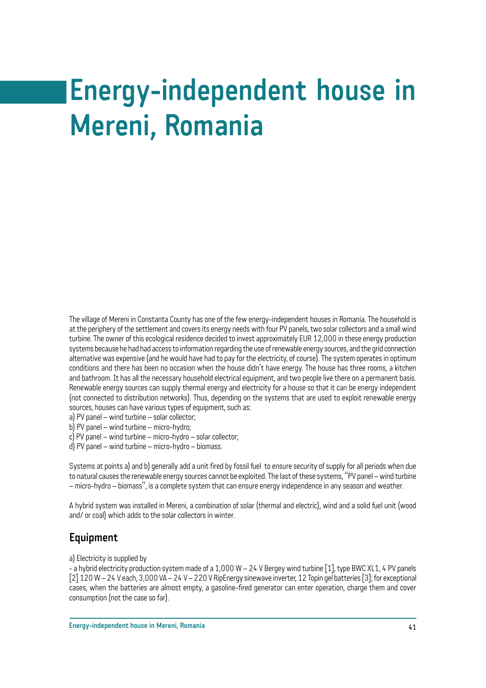# **Energy-independent house in Mereni, Romania**

The village of Mereni in Constanta County has one of the few energy-independent houses in Romania. The household is at the periphery of the settlement and covers its energy needs with four PV panels, two solar collectors and a small wind turbine. The owner of this ecological residence decided to invest approximately EUR 12,000 in these energy production systems because he had had access to information regarding the use of renewable energy sources, and the grid connection alternative was expensive (and he would have had to pay for the electricity, of course). The system operates in optimum conditions and there has been no occasion when the house didn't have energy. The house has three rooms, a kitchen and bathroom. It has all the necessary household electrical equipment, and two people live there on a permanent basis. Renewable energy sources can supply thermal energy and electricity for a house so that it can be energy independent (not connected to distribution networks). Thus, depending on the systems that are used to exploit renewable energy sources, houses can have various types of equipment, such as:

a) PV panel – wind turbine – solar collector;

b) PV panel – wind turbine – micro-hydro;

c) PV panel – wind turbine – micro-hydro – solar collector;

d) PV panel – wind turbine – micro-hydro – biomass.

Systems at points a) and b) generally add a unit fired by fossil fuel to ensure security of supply for all periods when due to natural causes the renewable energy sources cannot be exploited. The last of these systems, "PV panel – wind turbine – micro-hydro – biomass", is a complete system that can ensure energy independence in any season and weather.

A hybrid system was installed in Mereni, a combination of solar (thermal and electric), wind and a solid fuel unit (wood and/ or coal) which adds to the solar collectors in winter.

#### **Equipment**

a) Electricity is supplied by

- a hybrid electricity production system made of a 1,000 W – 24 V Bergey wind turbine [1], type BWC XL1, 4 PV panels [2] 120 W – 24 V each, 3,000 VA – 24 V – 220 V RipEnergy sinewave inverter, 12 Topin gel batteries [3]; for exceptional cases, when the batteries are almost empty, a gasoline-fired generator can enter operation, charge them and cover consumption (not the case so far).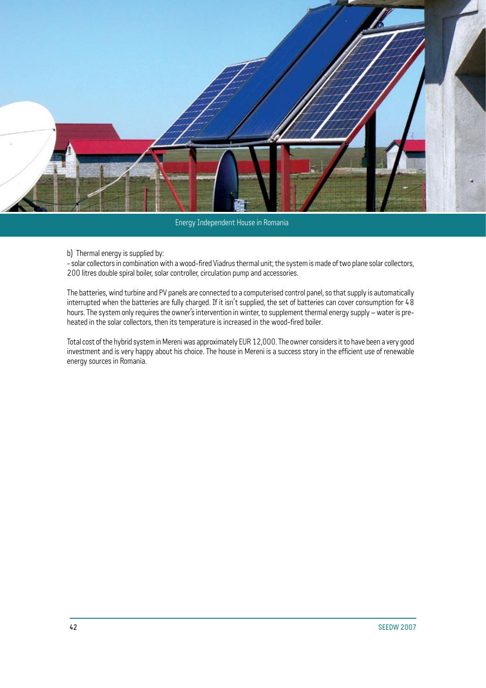![](_page_43_Picture_0.jpeg)

Energy Independent House in Romania

b) Thermal energy is supplied by:

- solar collectors in combination with a wood-fired Viadrus thermal unit; the system is made of two plane solar collectors, 200 litres double spiral boiler, solar controller, circulation pump and accessories.

The batteries, wind turbine and PV panels are connected to a computerised control panel, so that supply is automatically interrupted when the batteries are fully charged. If it isn't supplied, the set of batteries can cover consumption for 48 hours. The system only requires the owner's intervention in winter, to supplement thermal energy supply – water is preheated in the solar collectors, then its temperature is increased in the wood-fired boiler.

Total cost of the hybrid system in Mereni was approximately EUR 12,000. The owner considers it to have been a very good investment and is very happy about his choice. The house in Mereni is a success story in the efficient use of renewable energy sources in Romania.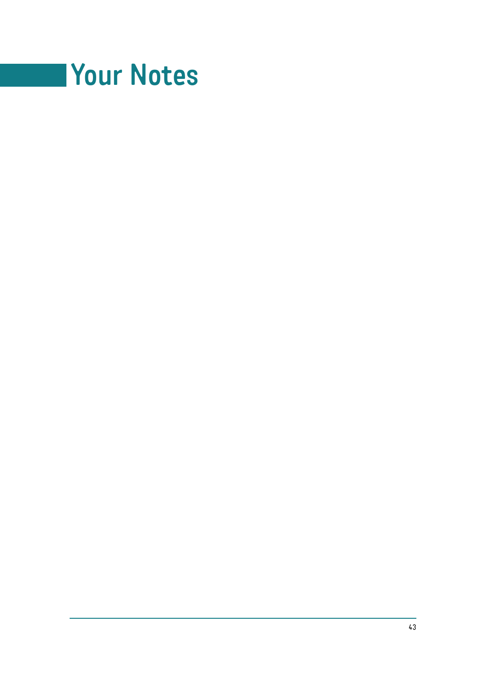![](_page_44_Picture_0.jpeg)